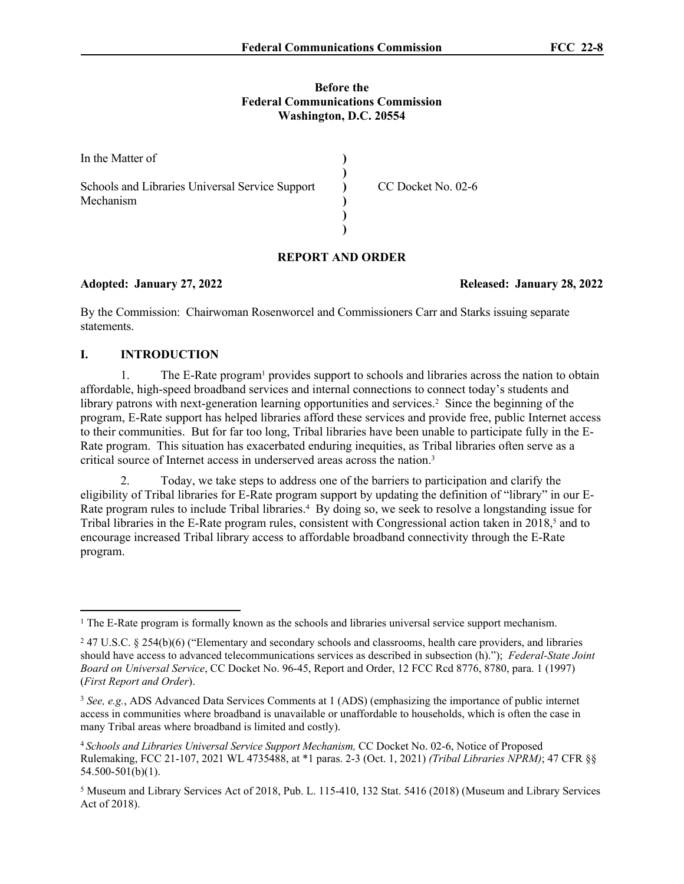#### **Before the Federal Communications Commission Washington, D.C. 20554**

| In the Matter of                                             |                    |
|--------------------------------------------------------------|--------------------|
| Schools and Libraries Universal Service Support<br>Mechanism | CC Docket No. 02-6 |

# **REPORT AND ORDER**

## **Adopted: January 27, 2022 Released: January 28, 2022**

By the Commission: Chairwoman Rosenworcel and Commissioners Carr and Starks issuing separate statements.

# **I. INTRODUCTION**

1. The E-Rate program<sup>1</sup> provides support to schools and libraries across the nation to obtain affordable, high-speed broadband services and internal connections to connect today's students and library patrons with next-generation learning opportunities and services.<sup>2</sup> Since the beginning of the program, E-Rate support has helped libraries afford these services and provide free, public Internet access to their communities. But for far too long, Tribal libraries have been unable to participate fully in the E-Rate program. This situation has exacerbated enduring inequities, as Tribal libraries often serve as a critical source of Internet access in underserved areas across the nation.<sup>3</sup>

2. Today, we take steps to address one of the barriers to participation and clarify the eligibility of Tribal libraries for E-Rate program support by updating the definition of "library" in our E-Rate program rules to include Tribal libraries.<sup>4</sup> By doing so, we seek to resolve a longstanding issue for Tribal libraries in the E-Rate program rules, consistent with Congressional action taken in 2018,<sup>5</sup> and to encourage increased Tribal library access to affordable broadband connectivity through the E-Rate program.

<sup>1</sup> The E-Rate program is formally known as the schools and libraries universal service support mechanism.

<sup>&</sup>lt;sup>2</sup> 47 U.S.C. § 254(b)(6) ("Elementary and secondary schools and classrooms, [health care providers](https://www.law.cornell.edu/definitions/uscode.php?width=840&height=800&iframe=true&def_id=47-USC-681888932-1298795591&term_occur=999&term_src=), and libraries should have access to advanced [telecommunications services a](https://www.law.cornell.edu/definitions/uscode.php?width=840&height=800&iframe=true&def_id=47-USC-1773906204-1952898750&term_occur=999&term_src=title:47:chapter:5:subchapter:II:part:II:section:254)s described in subsection (h)."); *Federal-State Joint Board on Universal Service*, CC Docket No. 96-45, Report and Order, 12 FCC Rcd 8776, 8780, para. 1 (1997) (*First Report and Order*).

<sup>&</sup>lt;sup>3</sup> See, e.g., ADS Advanced Data Services Comments at 1 (ADS) (emphasizing the importance of public internet access in communities where broadband is unavailable or unaffordable to households, which is often the case in many Tribal areas where broadband is limited and costly).

<sup>4</sup>*Schools and Libraries Universal Service Support Mechanism,* CC Docket No. 02-6, Notice of Proposed Rulemaking, FCC 21-107, 2021 WL 4735488, at \*1 paras. 2-3 (Oct. 1, 2021) *(Tribal Libraries NPRM)*; 47 CFR §§ 54.500-501(b)(1).

<sup>&</sup>lt;sup>5</sup> Museum and Library Services Act of 2018, Pub. L. 115-410, 132 Stat. 5416 (2018) (Museum and Library Services Act of 2018).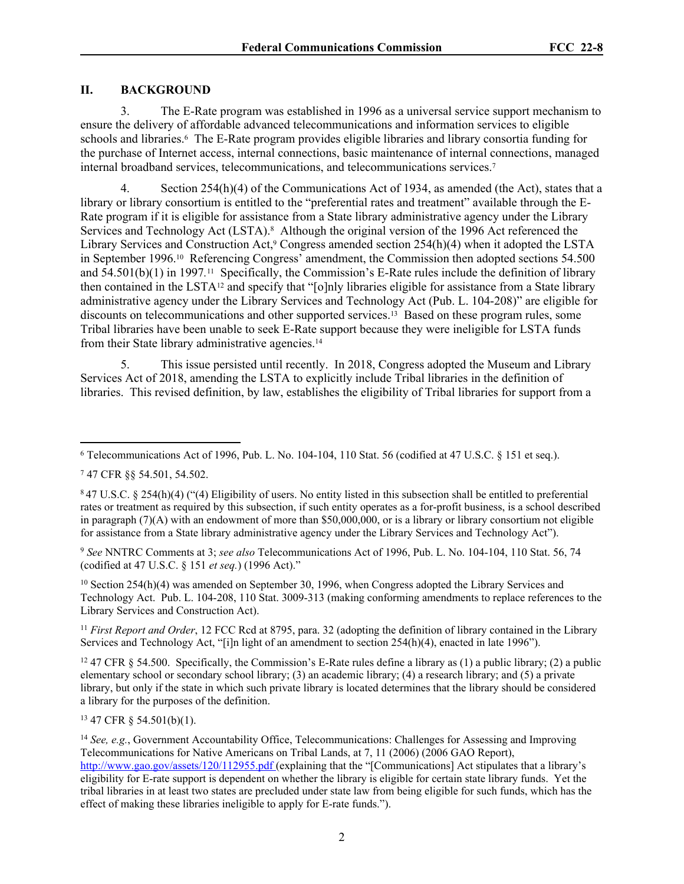## **II. BACKGROUND**

3. The E-Rate program was established in 1996 as a universal service support mechanism to ensure the delivery of affordable advanced telecommunications and information services to eligible schools and libraries.<sup>6</sup> The E-Rate program provides eligible libraries and library consortia funding for the purchase of Internet access, internal connections, basic maintenance of internal connections, managed internal broadband services, telecommunications, and telecommunications services.<sup>7</sup>

4. Section 254(h)(4) of the Communications Act of 1934, as amended (the Act), states that a library or library consortium is entitled to the "preferential rates and treatment" available through the E-Rate program if it is eligible for assistance from a State library administrative agency under the Library Services and Technology Act (LSTA).<sup>8</sup> Although the original version of the 1996 Act referenced the Library Services and Construction Act,<sup>9</sup> Congress amended section 254(h)(4) when it adopted the LSTA in September 1996.10 Referencing Congress' amendment, the Commission then adopted sections 54.500 and 54.501(b)(1) in 1997.<sup>11</sup> Specifically, the Commission's E-Rate rules include the definition of library then contained in the LSTA12 and specify that "[o]nly libraries eligible for assistance from a State library administrative agency under the Library Services and Technology Act (Pub. L. 104-208)" are eligible for discounts on telecommunications and other supported services.<sup>13</sup> Based on these program rules, some Tribal libraries have been unable to seek E-Rate support because they were ineligible for LSTA funds from their State library administrative agencies.<sup>14</sup>

5. This issue persisted until recently. In 2018, Congress adopted the Museum and Library Services Act of 2018, amending the LSTA to explicitly include Tribal libraries in the definition of libraries. This revised definition, by law, establishes the eligibility of Tribal libraries for support from a

<sup>9</sup> *See* NNTRC Comments at 3; *see also* Telecommunications Act of 1996, Pub. L. No. 104-104, 110 Stat. 56, 74 (codified at 47 U.S.C. § 151 *et seq.*) (1996 Act)."

<sup>10</sup> Section 254(h)(4) was amended on September 30, 1996, when Congress adopted the Library Services and Technology Act. Pub. L. 104-208, 110 Stat. 3009-313 (making conforming amendments to replace references to the Library Services and Construction Act).

<sup>11</sup> *First Report and Order*, 12 FCC Rcd at 8795, para. 32 (adopting the definition of library contained in the Library Services and Technology Act, "[i]n light of an amendment to section 254(h)(4), enacted in late 1996").

<sup>12</sup> 47 CFR § 54.500. Specifically, the Commission's E-Rate rules define a library as (1) a public library; (2) a public elementary school or secondary school library; (3) an academic library; (4) a research library; and (5) a private library, but only if the state in which such private library is located determines that the library should be considered a library for the purposes of the definition.

<sup>13</sup> 47 CFR § 54.501(b)(1).

<sup>14</sup> *See, e.g.*, Government Accountability Office, Telecommunications: Challenges for Assessing and Improving Telecommunications for Native Americans on Tribal Lands, at 7, 11 (2006) (2006 GAO Report), <http://www.gao.gov/assets/120/112955.pdf> (explaining that the "[Communications] Act stipulates that a library's eligibility for E-rate support is dependent on whether the library is eligible for certain state library funds. Yet the tribal libraries in at least two states are precluded under state law from being eligible for such funds, which has the effect of making these libraries ineligible to apply for E-rate funds.").

<sup>6</sup> Telecommunications Act of 1996, Pub. L. No. 104-104, 110 Stat. 56 (codified at 47 U.S.C. § 151 et seq.).

<sup>7</sup> 47 CFR §§ 54.501, 54.502.

<sup>8</sup>47 U.S.C. § 254(h)(4) ("(4) Eligibility of users. No entity listed in this subsection shall be entitled to preferential rates or treatment as required by this subsection, if such entity operates as a for-profit business, is a school described in paragraph (7)(A) with an endowment of more than \$50,000,000, or is a library or library consortium not eligible for assistance from a State library administrative agency under the Library Services and Technology Act").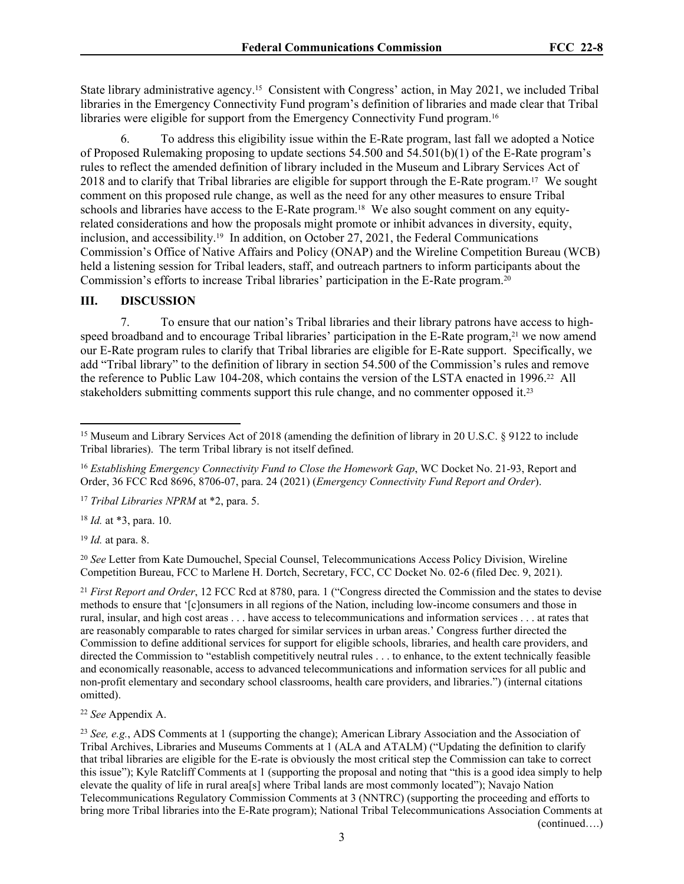State library administrative agency.15 Consistent with Congress' action, in May 2021, we included Tribal libraries in the Emergency Connectivity Fund program's definition of libraries and made clear that Tribal libraries were eligible for support from the Emergency Connectivity Fund program.<sup>16</sup>

6. To address this eligibility issue within the E-Rate program, last fall we adopted a Notice of Proposed Rulemaking proposing to update sections 54.500 and 54.501(b)(1) of the E-Rate program's rules to reflect the amended definition of library included in the Museum and Library Services Act of 2018 and to clarify that Tribal libraries are eligible for support through the E-Rate program.17 We sought comment on this proposed rule change, as well as the need for any other measures to ensure Tribal schools and libraries have access to the E-Rate program.<sup>18</sup> We also sought comment on any equityrelated considerations and how the proposals might promote or inhibit advances in diversity, equity, inclusion, and accessibility.19 In addition, on October 27, 2021, the Federal Communications Commission's Office of Native Affairs and Policy (ONAP) and the Wireline Competition Bureau (WCB) held a listening session for Tribal leaders, staff, and outreach partners to inform participants about the Commission's efforts to increase Tribal libraries' participation in the E-Rate program.<sup>20</sup>

## **III. DISCUSSION**

7. To ensure that our nation's Tribal libraries and their library patrons have access to highspeed broadband and to encourage Tribal libraries' participation in the E-Rate program,<sup>21</sup> we now amend our E-Rate program rules to clarify that Tribal libraries are eligible for E-Rate support. Specifically, we add "Tribal library" to the definition of library in section 54.500 of the Commission's rules and remove the reference to Public Law 104-208, which contains the version of the LSTA enacted in 1996.<sup>22</sup> All stakeholders submitting comments support this rule change, and no commenter opposed it.<sup>23</sup>

<sup>18</sup> *Id.* at \*3, para. 10.

<sup>19</sup> *Id.* at para. 8.

<sup>20</sup> *See* Letter from Kate Dumouchel, Special Counsel, Telecommunications Access Policy Division, Wireline Competition Bureau, FCC to Marlene H. Dortch, Secretary, FCC, CC Docket No. 02-6 (filed Dec. 9, 2021).

<sup>21</sup> *First Report and Order*, 12 FCC Rcd at 8780, para. 1 ("Congress directed the Commission and the states to devise methods to ensure that '[c]onsumers in all regions of the Nation, including low-income consumers and those in rural, insular, and high cost areas . . . have access to telecommunications and information services . . . at rates that are reasonably comparable to rates charged for similar services in urban areas.' Congress further directed the Commission to define additional services for support for eligible schools, libraries, and health care providers, and directed the Commission to "establish competitively neutral rules . . . to enhance, to the extent technically feasible and economically reasonable, access to advanced telecommunications and information services for all public and non-profit elementary and secondary school classrooms, health care providers, and libraries.") (internal citations omitted).

<sup>22</sup> *See* Appendix A.

<sup>23</sup> *See, e.g.*, ADS Comments at 1 (supporting the change); American Library Association and the Association of Tribal Archives, Libraries and Museums Comments at 1 (ALA and ATALM) ("Updating the definition to clarify that tribal libraries are eligible for the E-rate is obviously the most critical step the Commission can take to correct this issue"); Kyle Ratcliff Comments at 1 (supporting the proposal and noting that "this is a good idea simply to help elevate the quality of life in rural area[s] where Tribal lands are most commonly located"); Navajo Nation Telecommunications Regulatory Commission Comments at 3 (NNTRC) (supporting the proceeding and efforts to bring more Tribal libraries into the E-Rate program); National Tribal Telecommunications Association Comments at (continued….)

<sup>15</sup> Museum and Library Services Act of 2018 (amending the definition of library in 20 U.S.C. § 9122 to include Tribal libraries). The term Tribal library is not itself defined.

<sup>16</sup> *Establishing Emergency Connectivity Fund to Close the Homework Gap*, WC Docket No. 21-93, Report and Order, 36 FCC Rcd 8696, 8706-07, para. 24 (2021) (*Emergency Connectivity Fund Report and Order*).

<sup>17</sup> *Tribal Libraries NPRM* at \*2, para. 5.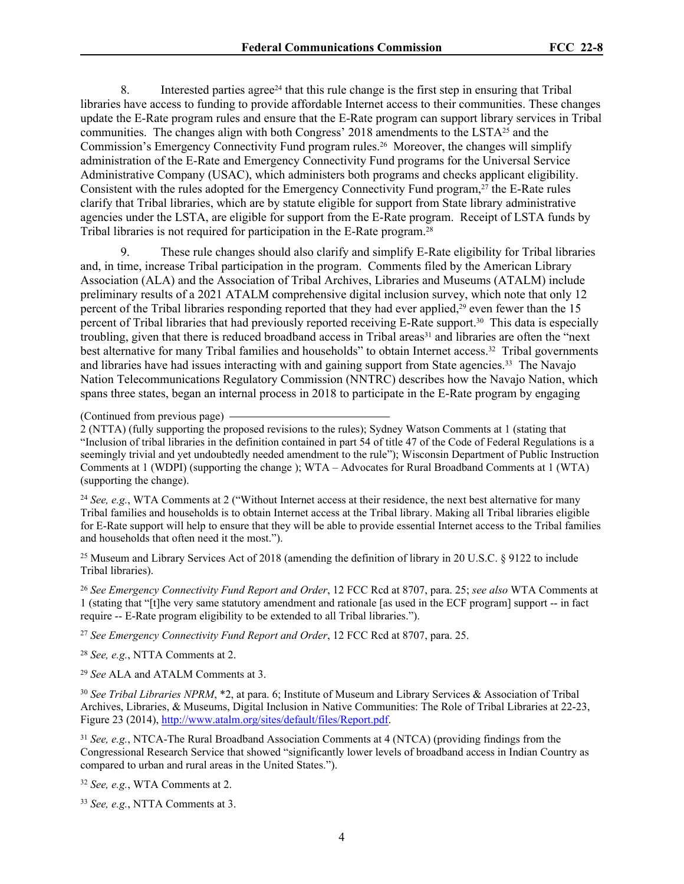8. Interested parties agree<sup>24</sup> that this rule change is the first step in ensuring that Tribal libraries have access to funding to provide affordable Internet access to their communities. These changes update the E-Rate program rules and ensure that the E-Rate program can support library services in Tribal communities. The changes align with both Congress' 2018 amendments to the LSTA25 and the Commission's Emergency Connectivity Fund program rules.26 Moreover, the changes will simplify administration of the E-Rate and Emergency Connectivity Fund programs for the Universal Service Administrative Company (USAC), which administers both programs and checks applicant eligibility. Consistent with the rules adopted for the Emergency Connectivity Fund program,27 the E-Rate rules clarify that Tribal libraries, which are by statute eligible for support from State library administrative agencies under the LSTA, are eligible for support from the E-Rate program. Receipt of LSTA funds by Tribal libraries is not required for participation in the E-Rate program.<sup>28</sup>

9. These rule changes should also clarify and simplify E-Rate eligibility for Tribal libraries and, in time, increase Tribal participation in the program. Comments filed by the American Library Association (ALA) and the Association of Tribal Archives, Libraries and Museums (ATALM) include preliminary results of a 2021 ATALM comprehensive digital inclusion survey, which note that only 12 percent of the Tribal libraries responding reported that they had ever applied,<sup>29</sup> even fewer than the 15 percent of Tribal libraries that had previously reported receiving E-Rate support.30 This data is especially troubling, given that there is reduced broadband access in Tribal areas<sup>31</sup> and libraries are often the "next best alternative for many Tribal families and households" to obtain Internet access.32 Tribal governments and libraries have had issues interacting with and gaining support from State agencies.33 The Navajo Nation Telecommunications Regulatory Commission (NNTRC) describes how the Navajo Nation, which spans three states, began an internal process in 2018 to participate in the E-Rate program by engaging

(Continued from previous page)

2 (NTTA) (fully supporting the proposed revisions to the rules); Sydney Watson Comments at 1 (stating that "Inclusion of tribal libraries in the definition contained in part 54 of title 47 of the Code of Federal Regulations is a seemingly trivial and yet undoubtedly needed amendment to the rule"); Wisconsin Department of Public Instruction Comments at 1 (WDPI) (supporting the change ); WTA – Advocates for Rural Broadband Comments at 1 (WTA) (supporting the change).

<sup>24</sup> *See, e.g.*, WTA Comments at 2 ("Without Internet access at their residence, the next best alternative for many Tribal families and households is to obtain Internet access at the Tribal library. Making all Tribal libraries eligible for E-Rate support will help to ensure that they will be able to provide essential Internet access to the Tribal families and households that often need it the most.").

<sup>25</sup> Museum and Library Services Act of 2018 (amending the definition of library in 20 U.S.C. § 9122 to include Tribal libraries).

<sup>26</sup> *See Emergency Connectivity Fund Report and Order*, 12 FCC Rcd at 8707, para. 25; *see also* WTA Comments at 1 (stating that "[t]he very same statutory amendment and rationale [as used in the ECF program] support -- in fact require -- E-Rate program eligibility to be extended to all Tribal libraries.").

<sup>27</sup> *See Emergency Connectivity Fund Report and Order*, 12 FCC Rcd at 8707, para. 25.

<sup>28</sup> *See, e.g.*, NTTA Comments at 2.

<sup>29</sup> *See* ALA and ATALM Comments at 3.

<sup>30</sup> *See Tribal Libraries NPRM*, \*2, at para. 6; Institute of Museum and Library Services & Association of Tribal Archives, Libraries, & Museums, Digital Inclusion in Native Communities: The Role of Tribal Libraries at 22-23, Figure 23 (2014), [http://www.atalm.org/sites/default/files/Report.pdf.](http://www.atalm.org/sites/default/files/Report.pdf)

<sup>31</sup> *See, e.g.*, NTCA-The Rural Broadband Association Comments at 4 (NTCA) (providing findings from the Congressional Research Service that showed "significantly lower levels of broadband access in Indian Country as compared to urban and rural areas in the United States.").

<sup>32</sup> *See, e.g.*, WTA Comments at 2.

<sup>33</sup> *See, e.g.*, NTTA Comments at 3.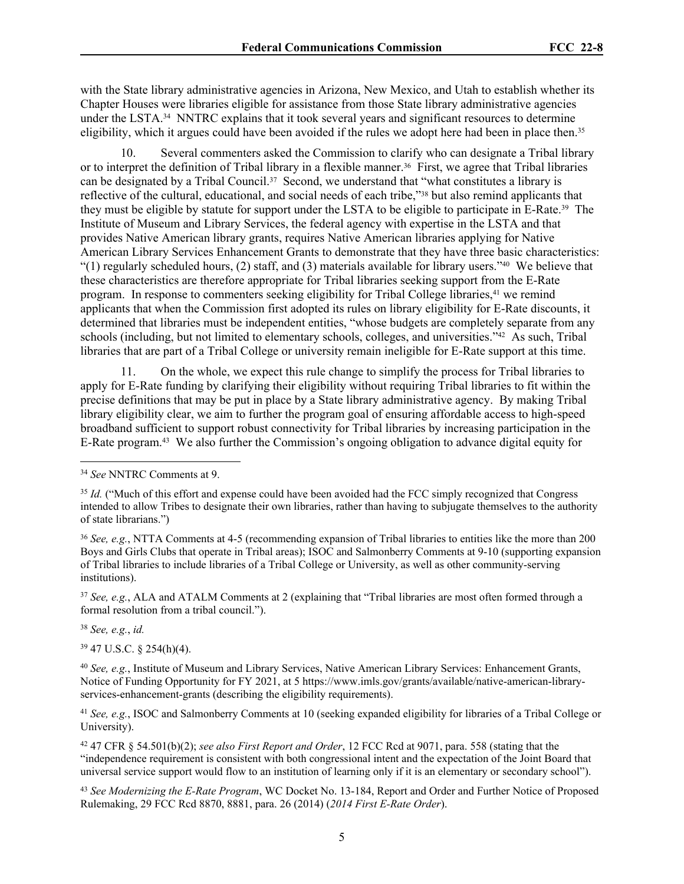with the State library administrative agencies in Arizona, New Mexico, and Utah to establish whether its Chapter Houses were libraries eligible for assistance from those State library administrative agencies under the LSTA.34 NNTRC explains that it took several years and significant resources to determine eligibility, which it argues could have been avoided if the rules we adopt here had been in place then.<sup>35</sup>

10. Several commenters asked the Commission to clarify who can designate a Tribal library or to interpret the definition of Tribal library in a flexible manner.<sup>36</sup> First, we agree that Tribal libraries can be designated by a Tribal Council.37 Second, we understand that "what constitutes a library is reflective of the cultural, educational, and social needs of each tribe,"38 but also remind applicants that they must be eligible by statute for support under the LSTA to be eligible to participate in E-Rate.39 The Institute of Museum and Library Services, the federal agency with expertise in the LSTA and that provides Native American library grants, requires Native American libraries applying for Native American Library Services Enhancement Grants to demonstrate that they have three basic characteristics:  $(1)$  regularly scheduled hours, (2) staff, and (3) materials available for library users."<sup>40</sup> We believe that these characteristics are therefore appropriate for Tribal libraries seeking support from the E-Rate program. In response to commenters seeking eligibility for Tribal College libraries,<sup>41</sup> we remind applicants that when the Commission first adopted its rules on library eligibility for E-Rate discounts, it determined that libraries must be independent entities, "whose budgets are completely separate from any schools (including, but not limited to elementary schools, colleges, and universities."42 As such, Tribal libraries that are part of a Tribal College or university remain ineligible for E-Rate support at this time.

11. On the whole, we expect this rule change to simplify the process for Tribal libraries to apply for E-Rate funding by clarifying their eligibility without requiring Tribal libraries to fit within the precise definitions that may be put in place by a State library administrative agency. By making Tribal library eligibility clear, we aim to further the program goal of ensuring affordable access to high-speed broadband sufficient to support robust connectivity for Tribal libraries by increasing participation in the E-Rate program.43 We also further the Commission's ongoing obligation to advance digital equity for

<sup>37</sup> *See, e.g.*, ALA and ATALM Comments at 2 (explaining that "Tribal libraries are most often formed through a formal resolution from a tribal council.").

<sup>38</sup> *See, e.g.*, *id.*

<sup>39</sup> 47 U.S.C. § 254(h)(4).

<sup>41</sup> *See, e.g.*, ISOC and Salmonberry Comments at 10 (seeking expanded eligibility for libraries of a Tribal College or University).

<sup>42</sup> 47 CFR § 54.501(b)(2); *see also First Report and Order*, 12 FCC Rcd at 9071, para. 558 (stating that the "independence requirement is consistent with both congressional intent and the expectation of the Joint Board that universal service support would flow to an institution of learning only if it is an elementary or secondary school").

<sup>43</sup> *See Modernizing the E-Rate Program*, WC Docket No. 13-184, Report and Order and Further Notice of Proposed Rulemaking, 29 FCC Rcd 8870, 8881, para. 26 (2014) (*2014 First E-Rate Order*).

<sup>34</sup> *See* NNTRC Comments at 9.

<sup>&</sup>lt;sup>35</sup> *Id.* ("Much of this effort and expense could have been avoided had the FCC simply recognized that Congress intended to allow Tribes to designate their own libraries, rather than having to subjugate themselves to the authority of state librarians.")

<sup>36</sup> *See, e.g.*, NTTA Comments at 4-5 (recommending expansion of Tribal libraries to entities like the more than 200 Boys and Girls Clubs that operate in Tribal areas); ISOC and Salmonberry Comments at 9-10 (supporting expansion of Tribal libraries to include libraries of a Tribal College or University, as well as other community-serving institutions).

<sup>40</sup> *See, e.g.*, Institute of Museum and Library Services, Native American Library Services: Enhancement Grants, Notice of Funding Opportunity for FY 2021, at 5 https://www.imls.gov/grants/available/native-american-libraryservices-enhancement-grants (describing the eligibility requirements).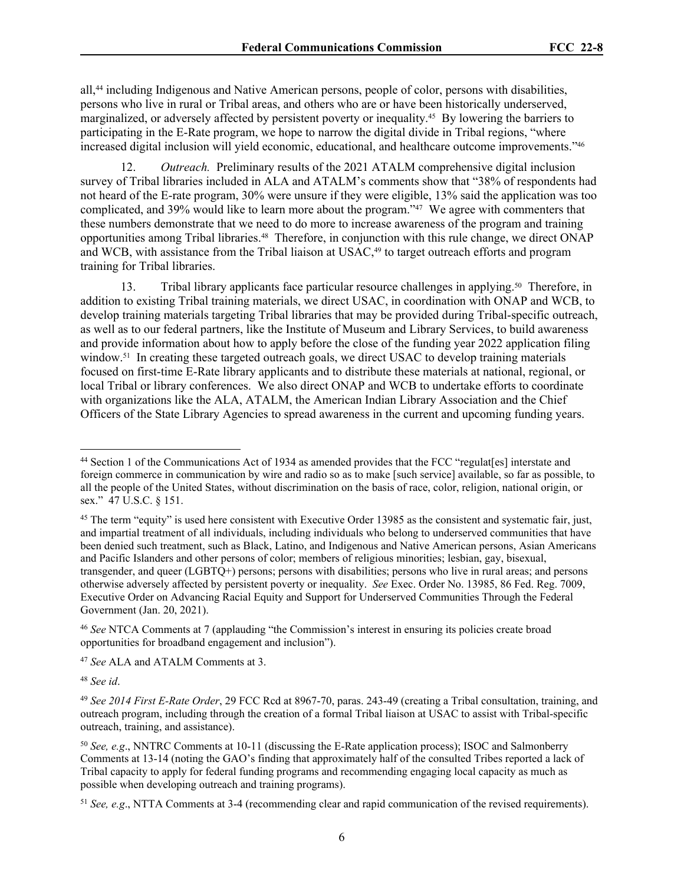all,44 including Indigenous and Native American persons, people of color, persons with disabilities, persons who live in rural or Tribal areas, and others who are or have been historically underserved, marginalized, or adversely affected by persistent poverty or inequality.<sup>45</sup> By lowering the barriers to participating in the E-Rate program, we hope to narrow the digital divide in Tribal regions, "where increased digital inclusion will yield economic, educational, and healthcare outcome improvements."<sup>46</sup>

12. *Outreach.* Preliminary results of the 2021 ATALM comprehensive digital inclusion survey of Tribal libraries included in ALA and ATALM's comments show that "38% of respondents had not heard of the E-rate program, 30% were unsure if they were eligible, 13% said the application was too complicated, and 39% would like to learn more about the program."47 We agree with commenters that these numbers demonstrate that we need to do more to increase awareness of the program and training opportunities among Tribal libraries.48 Therefore, in conjunction with this rule change, we direct ONAP and WCB, with assistance from the Tribal liaison at USAC,<sup>49</sup> to target outreach efforts and program training for Tribal libraries.

13. Tribal library applicants face particular resource challenges in applying.50 Therefore, in addition to existing Tribal training materials, we direct USAC, in coordination with ONAP and WCB, to develop training materials targeting Tribal libraries that may be provided during Tribal-specific outreach, as well as to our federal partners, like the Institute of Museum and Library Services, to build awareness and provide information about how to apply before the close of the funding year 2022 application filing window.<sup>51</sup> In creating these targeted outreach goals, we direct USAC to develop training materials focused on first-time E-Rate library applicants and to distribute these materials at national, regional, or local Tribal or library conferences. We also direct ONAP and WCB to undertake efforts to coordinate with organizations like the ALA, ATALM, the American Indian Library Association and the Chief Officers of the State Library Agencies to spread awareness in the current and upcoming funding years.

<sup>48</sup> *See id*.

<sup>44</sup> Section 1 of the Communications Act of 1934 as amended provides that the FCC "regulat[es] interstate and foreign commerce in communication by wire and radio so as to make [such service] available, so far as possible, to all the people of the United States, without discrimination on the basis of race, color, religion, national origin, or sex." 47 U.S.C. § 151.

<sup>45</sup> The term "equity" is used here consistent with Executive Order 13985 as the consistent and systematic fair, just, and impartial treatment of all individuals, including individuals who belong to underserved communities that have been denied such treatment, such as Black, Latino, and Indigenous and Native American persons, Asian Americans and Pacific Islanders and other persons of color; members of religious minorities; lesbian, gay, bisexual, transgender, and queer (LGBTQ+) persons; persons with disabilities; persons who live in rural areas; and persons otherwise adversely affected by persistent poverty or inequality. *See* Exec. Order No. 13985, 86 Fed. Reg. 7009, Executive Order on Advancing Racial Equity and Support for Underserved Communities Through the Federal Government (Jan. 20, 2021).

<sup>46</sup> *See* NTCA Comments at 7 (applauding "the Commission's interest in ensuring its policies create broad opportunities for broadband engagement and inclusion").

<sup>47</sup> *See* ALA and ATALM Comments at 3.

<sup>49</sup> *See 2014 First E-Rate Order*, 29 FCC Rcd at 8967-70, paras. 243-49 (creating a Tribal consultation, training, and outreach program, including through the creation of a formal Tribal liaison at USAC to assist with Tribal-specific outreach, training, and assistance).

<sup>50</sup> *See, e.g*., NNTRC Comments at 10-11 (discussing the E-Rate application process); ISOC and Salmonberry Comments at 13-14 (noting the GAO's finding that approximately half of the consulted Tribes reported a lack of Tribal capacity to apply for federal funding programs and recommending engaging local capacity as much as possible when developing outreach and training programs).

<sup>51</sup> *See, e.g*., NTTA Comments at 3-4 (recommending clear and rapid communication of the revised requirements).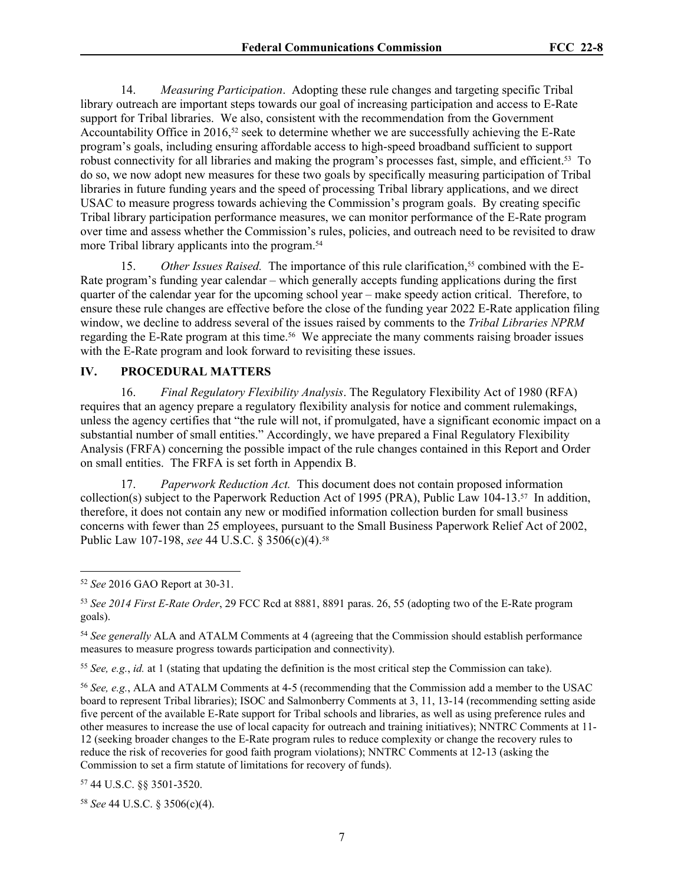14. *Measuring Participation*. Adopting these rule changes and targeting specific Tribal library outreach are important steps towards our goal of increasing participation and access to E-Rate support for Tribal libraries. We also, consistent with the recommendation from the Government Accountability Office in 2016,<sup>52</sup> seek to determine whether we are successfully achieving the E-Rate program's goals, including ensuring affordable access to high-speed broadband sufficient to support robust connectivity for all libraries and making the program's processes fast, simple, and efficient.53 To do so, we now adopt new measures for these two goals by specifically measuring participation of Tribal libraries in future funding years and the speed of processing Tribal library applications, and we direct USAC to measure progress towards achieving the Commission's program goals. By creating specific Tribal library participation performance measures, we can monitor performance of the E-Rate program over time and assess whether the Commission's rules, policies, and outreach need to be revisited to draw more Tribal library applicants into the program.<sup>54</sup>

15. *Other Issues Raised.* The importance of this rule clarification,<sup>55</sup> combined with the E-Rate program's funding year calendar – which generally accepts funding applications during the first quarter of the calendar year for the upcoming school year – make speedy action critical. Therefore, to ensure these rule changes are effective before the close of the funding year 2022 E-Rate application filing window, we decline to address several of the issues raised by comments to the *Tribal Libraries NPRM* regarding the E-Rate program at this time.<sup>56</sup> We appreciate the many comments raising broader issues with the E-Rate program and look forward to revisiting these issues.

#### **IV. PROCEDURAL MATTERS**

16. *Final Regulatory Flexibility Analysis*. The Regulatory Flexibility Act of 1980 (RFA) requires that an agency prepare a regulatory flexibility analysis for notice and comment rulemakings, unless the agency certifies that "the rule will not, if promulgated, have a significant economic impact on a substantial number of small entities." Accordingly, we have prepared a Final Regulatory Flexibility Analysis (FRFA) concerning the possible impact of the rule changes contained in this Report and Order on small entities. The FRFA is set forth in Appendix B.

17. *Paperwork Reduction Act.* This document does not contain proposed information collection(s) subject to the Paperwork Reduction Act of 1995 (PRA), Public Law 104-13.57 In addition, therefore, it does not contain any new or modified information collection burden for small business concerns with fewer than 25 employees, pursuant to the Small Business Paperwork Relief Act of 2002, Public Law 107-198, see 44 U.S.C. § 3506(c)(4).<sup>58</sup>

<sup>55</sup> *See, e.g.*, *id.* at 1 (stating that updating the definition is the most critical step the Commission can take).

<sup>56</sup> *See, e.g.*, ALA and ATALM Comments at 4-5 (recommending that the Commission add a member to the USAC board to represent Tribal libraries); ISOC and Salmonberry Comments at 3, 11, 13-14 (recommending setting aside five percent of the available E-Rate support for Tribal schools and libraries, as well as using preference rules and other measures to increase the use of local capacity for outreach and training initiatives); NNTRC Comments at 11- 12 (seeking broader changes to the E-Rate program rules to reduce complexity or change the recovery rules to reduce the risk of recoveries for good faith program violations); NNTRC Comments at 12-13 (asking the Commission to set a firm statute of limitations for recovery of funds).

<sup>57</sup> 44 U.S.C. §§ 3501-3520.

<sup>58</sup> *See* 44 U.S.C. § 3506(c)(4).

<sup>52</sup> *See* 2016 GAO Report at 30-31.

<sup>53</sup> *See 2014 First E-Rate Order*, 29 FCC Rcd at 8881, 8891 paras. 26, 55 (adopting two of the E-Rate program goals).

<sup>54</sup> *See generally* ALA and ATALM Comments at 4 (agreeing that the Commission should establish performance measures to measure progress towards participation and connectivity).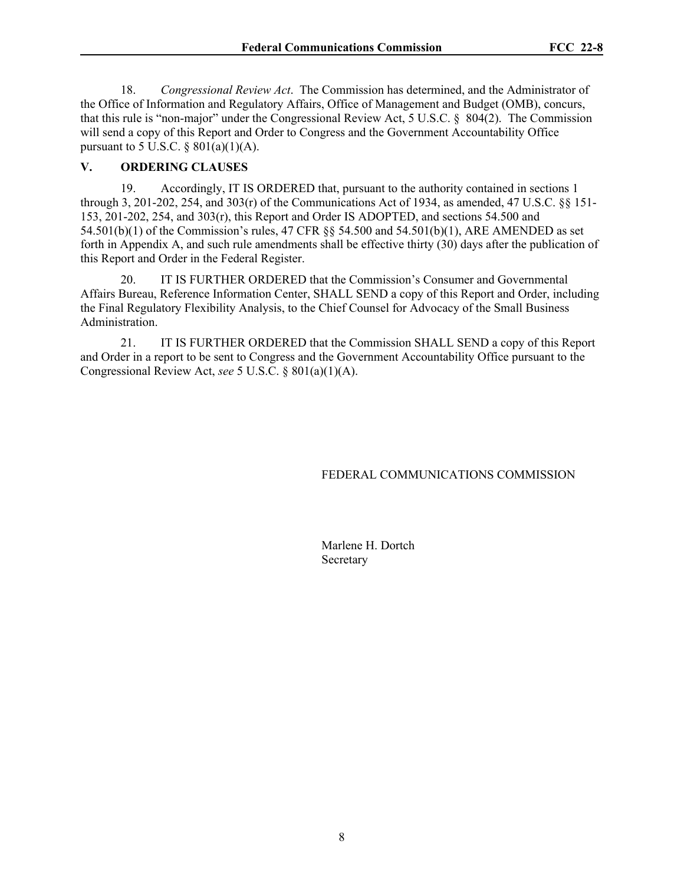18. *Congressional Review Act*. The Commission has determined, and the Administrator of the Office of Information and Regulatory Affairs, Office of Management and Budget (OMB), concurs, that this rule is "non-major" under the Congressional Review Act, 5 U.S.C. § 804(2). The Commission will send a copy of this Report and Order to Congress and the Government Accountability Office pursuant to 5 U.S.C.  $\S$  801(a)(1)(A).

## **V. ORDERING CLAUSES**

19. Accordingly, IT IS ORDERED that, pursuant to the authority contained in sections 1 through 3, 201-202, 254, and 303(r) of the Communications Act of 1934, as amended, 47 U.S.C. §§ 151- 153, 201-202, 254, and 303(r), this Report and Order IS ADOPTED, and sections 54.500 and 54.501(b)(1) of the Commission's rules, 47 CFR §§ 54.500 and 54.501(b)(1), ARE AMENDED as set forth in Appendix A, and such rule amendments shall be effective thirty (30) days after the publication of this Report and Order in the Federal Register.

20. IT IS FURTHER ORDERED that the Commission's Consumer and Governmental Affairs Bureau, Reference Information Center, SHALL SEND a copy of this Report and Order, including the Final Regulatory Flexibility Analysis, to the Chief Counsel for Advocacy of the Small Business Administration.

21. IT IS FURTHER ORDERED that the Commission SHALL SEND a copy of this Report and Order in a report to be sent to Congress and the Government Accountability Office pursuant to the Congressional Review Act, *see* 5 U.S.C. § 801(a)(1)(A).

#### FEDERAL COMMUNICATIONS COMMISSION

Marlene H. Dortch Secretary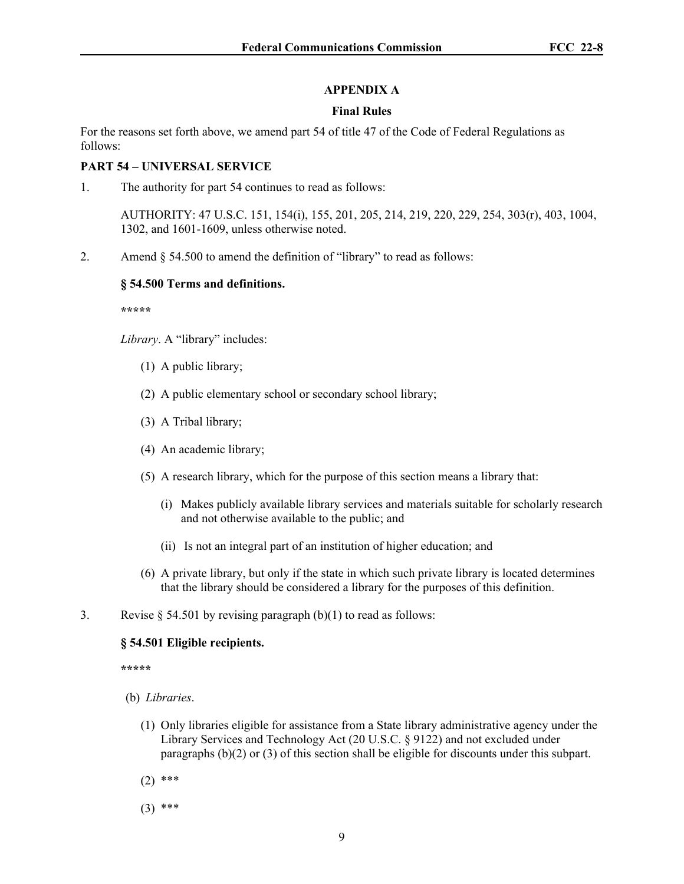## **APPENDIX A**

## **Final Rules**

For the reasons set forth above, we amend part 54 of title 47 of the Code of Federal Regulations as follows:

## **PART 54 – UNIVERSAL SERVICE**

1. The authority for part 54 continues to read as follows:

AUTHORITY: 47 U.S.C. 151, 154(i), 155, 201, 205, 214, 219, 220, 229, 254, 303(r), 403, 1004, 1302, and 1601-1609, unless otherwise noted.

2. Amend § 54.500 to amend the definition of "library" to read as follows:

#### **§ 54.500 Terms and definitions.**

**\*\*\*\*\***

*Library*. A "library" includes:

- (1) A public library;
- (2) A public elementary school or secondary school library;
- (3) A Tribal library;
- (4) An academic library;
- (5) A research library, which for the purpose of this section means a library that:
	- (i) Makes publicly available library services and materials suitable for scholarly research and not otherwise available to the public; and
	- (ii) Is not an integral part of an institution of higher education; and
- (6) A private library, but only if the state in which such private library is located determines that the library should be considered a library for the purposes of this definition.
- 3. Revise  $\S$  54.501 by revising paragraph (b)(1) to read as follows:

## **§ 54.501 Eligible recipients.**

**\*\*\*\*\***

- (b) *Libraries*.
	- (1) Only libraries eligible for assistance from a State library administrative agency under the Library Services and Technology Act (20 U.S.C. § 9122) and not excluded under paragraphs (b)(2) or (3) of this section shall be eligible for discounts under this subpart.
	- (2) \*\*\*
	- (3) \*\*\*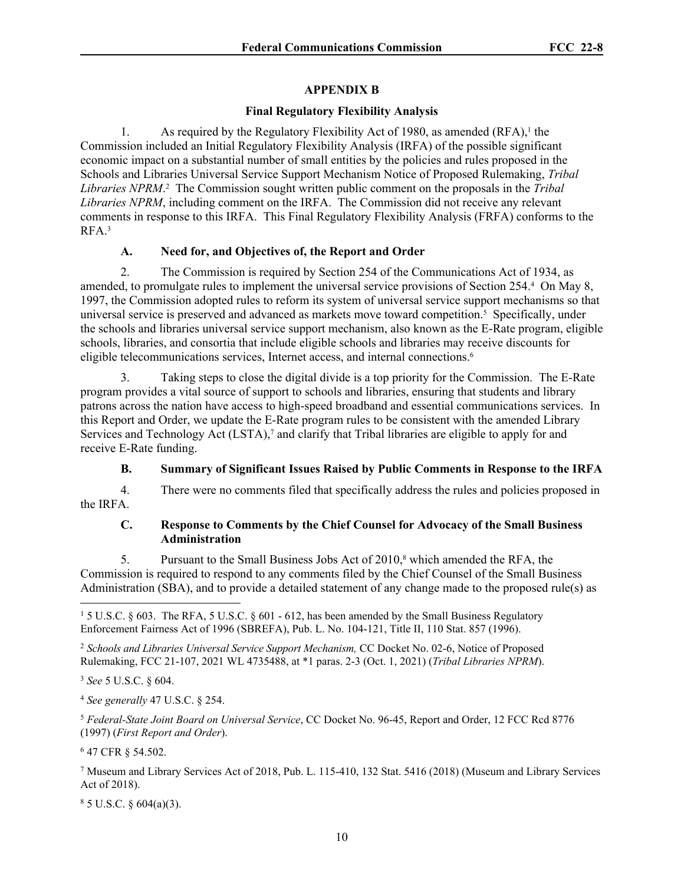# **APPENDIX B**

# **Final Regulatory Flexibility Analysis**

1. As required by the Regulatory Flexibility Act of 1980, as amended  $(RFA)$ ,<sup>1</sup> the Commission included an Initial Regulatory Flexibility Analysis (IRFA) of the possible significant economic impact on a substantial number of small entities by the policies and rules proposed in the Schools and Libraries Universal Service Support Mechanism Notice of Proposed Rulemaking, *Tribal*  Libraries NPRM<sup>2</sup>. The Commission sought written public comment on the proposals in the *Tribal Libraries NPRM*, including comment on the IRFA. The Commission did not receive any relevant comments in response to this IRFA. This Final Regulatory Flexibility Analysis (FRFA) conforms to the RFA.<sup>3</sup>

# **A. Need for, and Objectives of, the Report and Order**

2. The Commission is required by Section 254 of the Communications Act of 1934, as amended, to promulgate rules to implement the universal service provisions of Section 254.<sup>4</sup> On May 8, 1997, the Commission adopted rules to reform its system of universal service support mechanisms so that universal service is preserved and advanced as markets move toward competition.<sup>5</sup> Specifically, under the schools and libraries universal service support mechanism, also known as the E-Rate program, eligible schools, libraries, and consortia that include eligible schools and libraries may receive discounts for eligible telecommunications services, Internet access, and internal connections.<sup>6</sup>

3. Taking steps to close the digital divide is a top priority for the Commission. The E-Rate program provides a vital source of support to schools and libraries, ensuring that students and library patrons across the nation have access to high-speed broadband and essential communications services. In this Report and Order, we update the E-Rate program rules to be consistent with the amended Library Services and Technology Act (LSTA),<sup>7</sup> and clarify that Tribal libraries are eligible to apply for and receive E-Rate funding.

# **B. Summary of Significant Issues Raised by Public Comments in Response to the IRFA**

4. There were no comments filed that specifically address the rules and policies proposed in the IRFA.

# **C. Response to Comments by the Chief Counsel for Advocacy of the Small Business Administration**

5. Pursuant to the Small Business Jobs Act of 2010,<sup>8</sup> which amended the RFA, the Commission is required to respond to any comments filed by the Chief Counsel of the Small Business Administration (SBA), and to provide a detailed statement of any change made to the proposed rule(s) as

<sup>3</sup> *See* 5 U.S.C. § 604.

<sup>4</sup> *See generally* 47 U.S.C. § 254.

<sup>5</sup> *Federal-State Joint Board on Universal Service*, CC Docket No. 96-45, Report and Order, 12 FCC Rcd 8776 (1997) (*First Report and Order*).

6 47 CFR § 54.502.

7 Museum and Library Services Act of 2018, Pub. L. 115-410, 132 Stat. 5416 (2018) (Museum and Library Services Act of 2018).

 $85$  U.S.C. § 604(a)(3).

<sup>&</sup>lt;sup>1</sup> 5 U.S.C. § 603. The RFA, 5 U.S.C. § 601 - 612, has been amended by the Small Business Regulatory Enforcement Fairness Act of 1996 (SBREFA), Pub. L. No. 104-121, Title II, 110 Stat. 857 (1996).

<sup>2</sup> *Schools and Libraries Universal Service Support Mechanism,* CC Docket No. 02-6, Notice of Proposed Rulemaking, FCC 21-107, 2021 WL 4735488, at \*1 paras. 2-3 (Oct. 1, 2021) (*Tribal Libraries NPRM*).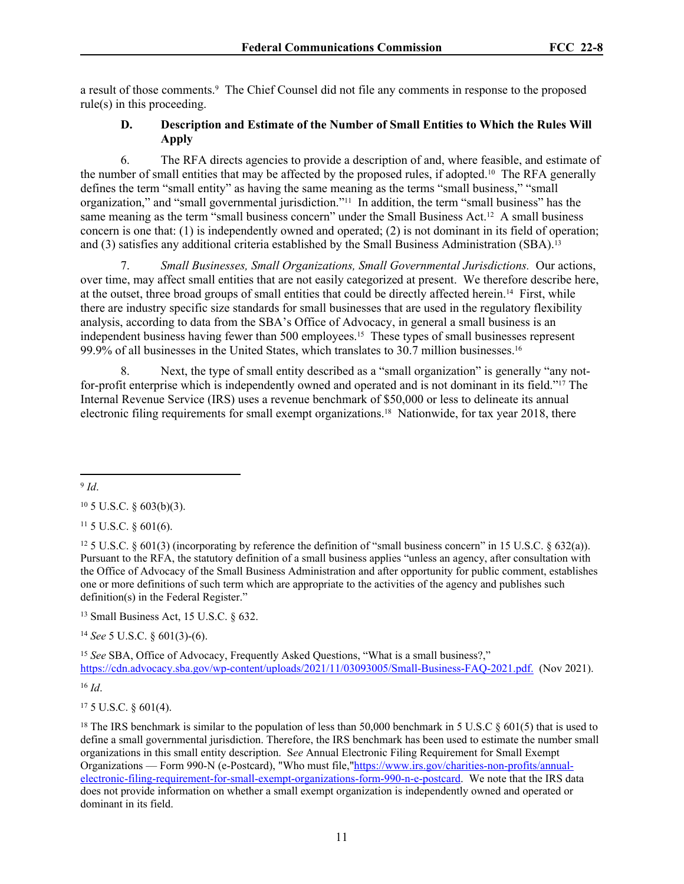a result of those comments.<sup>9</sup> The Chief Counsel did not file any comments in response to the proposed rule(s) in this proceeding.

## **D. Description and Estimate of the Number of Small Entities to Which the Rules Will Apply**

6. The RFA directs agencies to provide a description of and, where feasible, and estimate of the number of small entities that may be affected by the proposed rules, if adopted.10 The RFA generally defines the term "small entity" as having the same meaning as the terms "small business," "small organization," and "small governmental jurisdiction."11 In addition, the term "small business" has the same meaning as the term "small business concern" under the Small Business Act.<sup>12</sup> A small business concern is one that: (1) is independently owned and operated; (2) is not dominant in its field of operation; and (3) satisfies any additional criteria established by the Small Business Administration (SBA).<sup>13</sup>

7. *Small Businesses, Small Organizations, Small Governmental Jurisdictions.* Our actions, over time, may affect small entities that are not easily categorized at present. We therefore describe here, at the outset, three broad groups of small entities that could be directly affected herein.14 First, while there are industry specific size standards for small businesses that are used in the regulatory flexibility analysis, according to data from the SBA's Office of Advocacy, in general a small business is an independent business having fewer than 500 employees.15 These types of small businesses represent 99.9% of all businesses in the United States, which translates to 30.7 million businesses.<sup>16</sup>

Next, the type of small entity described as a "small organization" is generally "any notfor-profit enterprise which is independently owned and operated and is not dominant in its field."17 The Internal Revenue Service (IRS) uses a revenue benchmark of \$50,000 or less to delineate its annual electronic filing requirements for small exempt organizations.18 Nationwide, for tax year 2018, there

9 *Id*.

 $10\,5$  U.S.C. § 603(b)(3).

 $11\,5$  U.S.C. § 601(6).

<sup>12</sup> 5 U.S.C. § 601(3) (incorporating by reference the definition of "small business concern" in 15 U.S.C. § 632(a)). Pursuant to the RFA, the statutory definition of a small business applies "unless an agency, after consultation with the Office of Advocacy of the Small Business Administration and after opportunity for public comment, establishes one or more definitions of such term which are appropriate to the activities of the agency and publishes such definition(s) in the Federal Register."

<sup>13</sup> Small Business Act, 15 U.S.C. § 632.

<sup>14</sup> *See* 5 U.S.C. § 601(3)-(6).

<sup>15</sup> *See* SBA, Office of Advocacy, Frequently Asked Questions, "What is a small business?," <https://cdn.advocacy.sba.gov/wp-content/uploads/2021/11/03093005/Small-Business-FAQ-2021.pdf>. (Nov 2021).

<sup>16</sup> *Id*.

<sup>17</sup> 5 U.S.C. § 601(4).

<sup>&</sup>lt;sup>18</sup> The IRS benchmark is similar to the population of less than 50,000 benchmark in 5 U.S.C  $\S 601(5)$  that is used to define a small governmental jurisdiction. Therefore, the IRS benchmark has been used to estimate the number small organizations in this small entity description. S*ee* Annual Electronic Filing Requirement for Small Exempt Organizations — Form 990-N (e-Postcard), "Who must file,["https://www.irs.gov/charities-non-profits/annual](https://www.irs.gov/charities-non-profits/annual-electronic-filing-requirement-for-small-exempt-organizations-form-990-n-e-postcard)[electronic-filing-requirement-for-small-exempt-organizations-form-990-n-e-postcard](https://www.irs.gov/charities-non-profits/annual-electronic-filing-requirement-for-small-exempt-organizations-form-990-n-e-postcard). We note that the IRS data does not provide information on whether a small exempt organization is independently owned and operated or dominant in its field.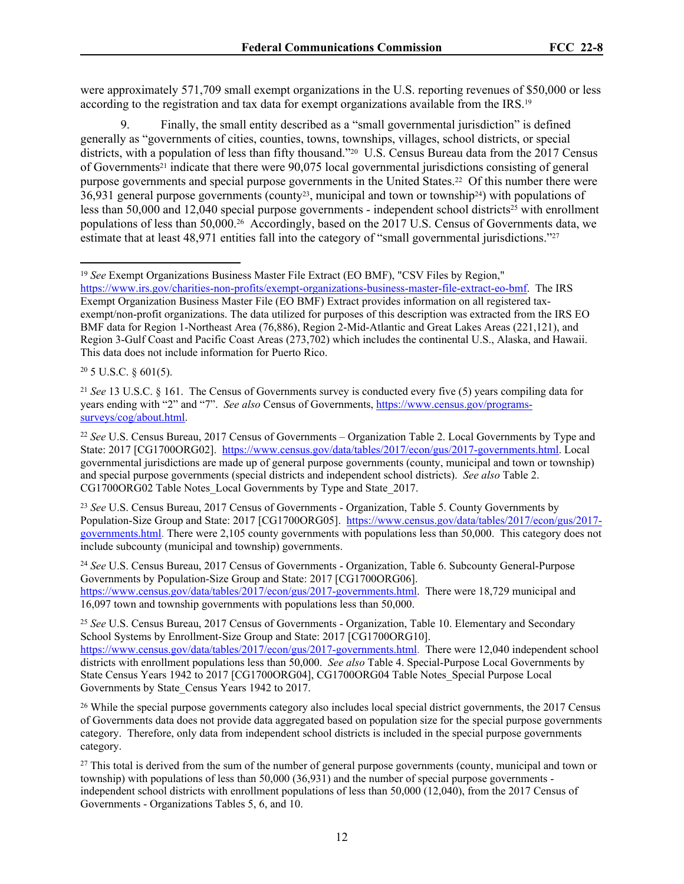were approximately 571,709 small exempt organizations in the U.S. reporting revenues of \$50,000 or less according to the registration and tax data for exempt organizations available from the IRS.<sup>19</sup>

9. Finally, the small entity described as a "small governmental jurisdiction" is defined generally as "governments of cities, counties, towns, townships, villages, school districts, or special districts, with a population of less than fifty thousand."<sup>20</sup> U.S. Census Bureau data from the 2017 Census of Governments21 indicate that there were 90,075 local governmental jurisdictions consisting of general purpose governments and special purpose governments in the United States.22 Of this number there were 36,931 general purpose governments (county23, municipal and town or township24) with populations of less than 50,000 and 12,040 special purpose governments - independent school districts<sup>25</sup> with enrollment populations of less than 50,000.26 Accordingly, based on the 2017 U.S. Census of Governments data, we estimate that at least 48,971 entities fall into the category of "small governmental jurisdictions."<sup>27</sup>

 $20$  5 U.S.C. § 601(5).

<sup>19</sup> *See* Exempt Organizations Business Master File Extract (EO BMF), "CSV Files by Region," [https://www.irs.gov/charities-non-profits/exempt-organizations-business-master-file-extract-eo-bmf.](https://www.irs.gov/charities-non-profits/exempt-organizations-business-master-file-extract-eo-bmf) The IRS Exempt Organization Business Master File (EO BMF) Extract provides information on all registered taxexempt/non-profit organizations. The data utilized for purposes of this description was extracted from the IRS EO BMF data for Region 1-Northeast Area (76,886), Region 2-Mid-Atlantic and Great Lakes Areas (221,121), and Region 3-Gulf Coast and Pacific Coast Areas (273,702) which includes the continental U.S., Alaska, and Hawaii. This data does not include information for Puerto Rico.

<sup>21</sup> *See* 13 U.S.C. § 161. The Census of Governments survey is conducted every five (5) years compiling data for years ending with "2" and "7". *See also* Census of Governments, [https://www.census.gov/programs](https://www.census.gov/programs-surveys/cog/about.html)[surveys/cog/about.html.](https://www.census.gov/programs-surveys/cog/about.html)

<sup>22</sup> *See* U.S. Census Bureau, 2017 Census of Governments – Organization Table 2. Local Governments by Type and State: 2017 [CG1700ORG02]. <https://www.census.gov/data/tables/2017/econ/gus/2017-governments.html>. Local governmental jurisdictions are made up of general purpose governments (county, municipal and town or township) and special purpose governments (special districts and independent school districts). *See also* Table 2. CG1700ORG02 Table Notes\_Local Governments by Type and State\_2017.

<sup>23</sup> *See* U.S. Census Bureau, 2017 Census of Governments - Organization, Table 5. County Governments by Population-Size Group and State: 2017 [CG1700ORG05]. [https://www.census.gov/data/tables/2017/econ/gus/2017](https://www.census.gov/data/tables/2017/econ/gus/2017-governments.html) [governments.html](https://www.census.gov/data/tables/2017/econ/gus/2017-governments.html). There were 2,105 county governments with populations less than 50,000. This category does not include subcounty (municipal and township) governments.

<sup>24</sup> *See* U.S. Census Bureau, 2017 Census of Governments - Organization, Table 6. Subcounty General-Purpose Governments by Population-Size Group and State: 2017 [CG1700ORG06]. <https://www.census.gov/data/tables/2017/econ/gus/2017-governments.html>. There were 18,729 municipal and 16,097 town and township governments with populations less than 50,000.

<sup>25</sup> *See* U.S. Census Bureau, 2017 Census of Governments - Organization, Table 10. Elementary and Secondary School Systems by Enrollment-Size Group and State: 2017 [CG1700ORG10]. <https://www.census.gov/data/tables/2017/econ/gus/2017-governments.html>. There were 12,040 independent school districts with enrollment populations less than 50,000. *See also* Table 4. Special-Purpose Local Governments by State Census Years 1942 to 2017 [CG1700ORG04], CG1700ORG04 Table Notes\_Special Purpose Local Governments by State\_Census Years 1942 to 2017.

<sup>&</sup>lt;sup>26</sup> While the special purpose governments category also includes local special district governments, the 2017 Census of Governments data does not provide data aggregated based on population size for the special purpose governments category. Therefore, only data from independent school districts is included in the special purpose governments category.

<sup>&</sup>lt;sup>27</sup> This total is derived from the sum of the number of general purpose governments (county, municipal and town or township) with populations of less than 50,000 (36,931) and the number of special purpose governments independent school districts with enrollment populations of less than 50,000 (12,040), from the 2017 Census of Governments - Organizations Tables 5, 6, and 10.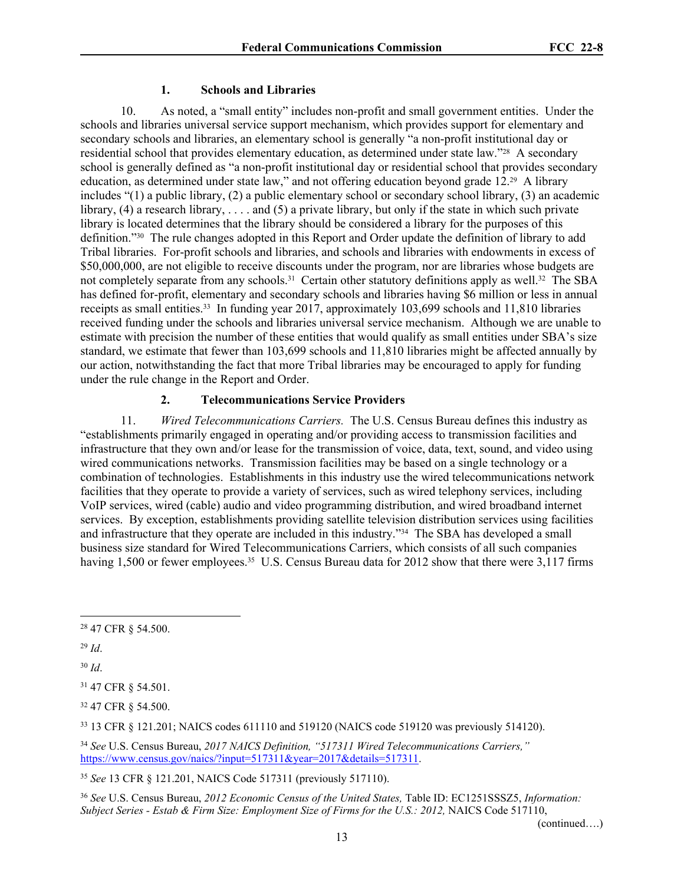# **1. Schools and Libraries**

10. As noted, a "small entity" includes non-profit and small government entities. Under the schools and libraries universal service support mechanism, which provides support for elementary and secondary schools and libraries, an elementary school is generally "a non-profit institutional day or residential school that provides elementary education, as determined under state law."28 A secondary school is generally defined as "a non-profit institutional day or residential school that provides secondary education, as determined under state law," and not offering education beyond grade 12.29 A library includes "(1) a public library, (2) a public elementary school or secondary school library, (3) an academic library, (4) a research library, . . . . and (5) a private library, but only if the state in which such private library is located determines that the library should be considered a library for the purposes of this definition."30 The rule changes adopted in this Report and Order update the definition of library to add Tribal libraries. For-profit schools and libraries, and schools and libraries with endowments in excess of \$50,000,000, are not eligible to receive discounts under the program, nor are libraries whose budgets are not completely separate from any schools.<sup>31</sup> Certain other statutory definitions apply as well.<sup>32</sup> The SBA has defined for-profit, elementary and secondary schools and libraries having \$6 million or less in annual receipts as small entities.33 In funding year 2017, approximately 103,699 schools and 11,810 libraries received funding under the schools and libraries universal service mechanism. Although we are unable to estimate with precision the number of these entities that would qualify as small entities under SBA's size standard, we estimate that fewer than 103,699 schools and 11,810 libraries might be affected annually by our action, notwithstanding the fact that more Tribal libraries may be encouraged to apply for funding under the rule change in the Report and Order.

# **2. Telecommunications Service Providers**

11. *Wired Telecommunications Carriers.* The U.S. Census Bureau defines this industry as "establishments primarily engaged in operating and/or providing access to transmission facilities and infrastructure that they own and/or lease for the transmission of voice, data, text, sound, and video using wired communications networks. Transmission facilities may be based on a single technology or a combination of technologies. Establishments in this industry use the wired telecommunications network facilities that they operate to provide a variety of services, such as wired telephony services, including VoIP services, wired (cable) audio and video programming distribution, and wired broadband internet services. By exception, establishments providing satellite television distribution services using facilities and infrastructure that they operate are included in this industry."34 The SBA has developed a small business size standard for Wired Telecommunications Carriers, which consists of all such companies having 1,500 or fewer employees.<sup>35</sup> U.S. Census Bureau data for 2012 show that there were 3,117 firms

<sup>29</sup> *Id*.

<sup>30</sup> *Id*.

<sup>32</sup> 47 CFR § 54.500.

<sup>33</sup> 13 CFR § 121.201; NAICS codes 611110 and 519120 (NAICS code 519120 was previously 514120).

<sup>34</sup> *See* U.S. Census Bureau, *2017 NAICS Definition, "517311 Wired Telecommunications Carriers,"* [https://www.census.gov/naics/?input=517311&year=2017&details=517311.](https://www.census.gov/naics/?input=517311&year=2017&details=517311)

<sup>35</sup> *See* 13 CFR § 121.201, NAICS Code 517311 (previously 517110).

<sup>36</sup> *See* U.S. Census Bureau, *2012 Economic Census of the United States,* Table ID: EC1251SSSZ5, *Information: Subject Series - Estab & Firm Size: Employment Size of Firms for the U.S.: 2012, NAICS Code 517110,* 

(continued….)

<sup>28</sup> 47 CFR § 54.500.

<sup>31</sup> 47 CFR § 54.501.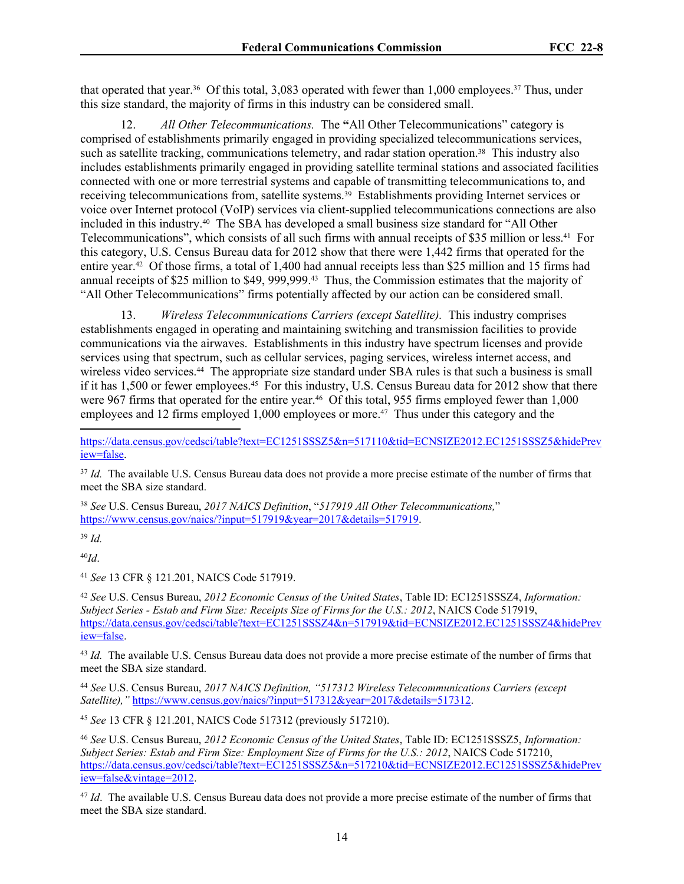that operated that year.36 Of this total, 3,083 operated with fewer than 1,000 employees.37 Thus, under this size standard, the majority of firms in this industry can be considered small.

12. *All Other Telecommunications.* The "All Other Telecommunications" category is comprised of establishments primarily engaged in providing specialized telecommunications services, such as satellite tracking, communications telemetry, and radar station operation.<sup>38</sup> This industry also includes establishments primarily engaged in providing satellite terminal stations and associated facilities connected with one or more terrestrial systems and capable of transmitting telecommunications to, and receiving telecommunications from, satellite systems.39 Establishments providing Internet services or voice over Internet protocol (VoIP) services via client-supplied telecommunications connections are also included in this industry.40 The SBA has developed a small business size standard for "All Other Telecommunications", which consists of all such firms with annual receipts of \$35 million or less.41 For this category, U.S. Census Bureau data for 2012 show that there were 1,442 firms that operated for the entire year.42 Of those firms, a total of 1,400 had annual receipts less than \$25 million and 15 firms had annual receipts of \$25 million to \$49, 999,999.43 Thus, the Commission estimates that the majority of "All Other Telecommunications" firms potentially affected by our action can be considered small.

13. *Wireless Telecommunications Carriers (except Satellite).* This industry comprises establishments engaged in operating and maintaining switching and transmission facilities to provide communications via the airwaves. Establishments in this industry have spectrum licenses and provide services using that spectrum, such as cellular services, paging services, wireless internet access, and wireless video services.<sup>44</sup> The appropriate size standard under SBA rules is that such a business is small if it has 1,500 or fewer employees.<sup>45</sup> For this industry, U.S. Census Bureau data for 2012 show that there were 967 firms that operated for the entire year.<sup>46</sup> Of this total, 955 firms employed fewer than 1,000 employees and 12 firms employed 1,000 employees or more.<sup>47</sup> Thus under this category and the

[https://data.census.gov/cedsci/table?text=EC1251SSSZ5&n=517110&tid=ECNSIZE2012.EC1251SSSZ5&hidePrev](https://data.census.gov/cedsci/table?text=EC1251SSSZ5&n=517110&tid=ECNSIZE2012.EC1251SSSZ5&hidePreview=false) [iew=false.](https://data.census.gov/cedsci/table?text=EC1251SSSZ5&n=517110&tid=ECNSIZE2012.EC1251SSSZ5&hidePreview=false)

<sup>37</sup> *Id.* The available U.S. Census Bureau data does not provide a more precise estimate of the number of firms that meet the SBA size standard.

<sup>38</sup> *See* U.S. Census Bureau, *2017 NAICS Definition*, "*517919 All Other Telecommunications,*" [https://www.census.gov/naics/?input=517919&year=2017&details=517919.](https://www.census.gov/naics/?input=517919&year=2017&details=517919)

<sup>39</sup> *Id.*

<sup>40</sup>*Id*.

<sup>41</sup> *See* 13 CFR § 121.201, NAICS Code 517919.

<sup>42</sup> *See* U.S. Census Bureau, *2012 Economic Census of the United States*, Table ID: EC1251SSSZ4, *Information: Subject Series - Estab and Firm Size: Receipts Size of Firms for the U.S.: 2012*, NAICS Code 517919, [https://data.census.gov/cedsci/table?text=EC1251SSSZ4&n=517919&tid=ECNSIZE2012.EC1251SSSZ4&hidePrev](https://data.census.gov/cedsci/table?text=EC1251SSSZ4&n=517919&tid=ECNSIZE2012.EC1251SSSZ4&hidePreview=false) [iew=false.](https://data.census.gov/cedsci/table?text=EC1251SSSZ4&n=517919&tid=ECNSIZE2012.EC1251SSSZ4&hidePreview=false)

<sup>43</sup> *Id.* The available U.S. Census Bureau data does not provide a more precise estimate of the number of firms that meet the SBA size standard.

<sup>44</sup> *See* U.S. Census Bureau, *2017 NAICS Definition, "517312 Wireless Telecommunications Carriers (except Satellite),"* [https://www.census.gov/naics/?input=517312&year=2017&details=517312.](https://www.census.gov/naics/?input=517312&year=2017&details=517312)

<sup>45</sup> *See* 13 CFR § 121.201, NAICS Code 517312 (previously 517210).

<sup>46</sup> *See* U.S. Census Bureau, *2012 Economic Census of the United States*, Table ID: EC1251SSSZ5, *Information: Subject Series: Estab and Firm Size: Employment Size of Firms for the U.S.: 2012*, NAICS Code 517210, [https://data.census.gov/cedsci/table?text=EC1251SSSZ5&n=517210&tid=ECNSIZE2012.EC1251SSSZ5&hidePrev](https://data.census.gov/cedsci/table?text=EC1251SSSZ5&n=517210&tid=ECNSIZE2012.EC1251SSSZ5&hidePreview=false&vintage=2012) [iew=false&vintage=2012.](https://data.census.gov/cedsci/table?text=EC1251SSSZ5&n=517210&tid=ECNSIZE2012.EC1251SSSZ5&hidePreview=false&vintage=2012)

<sup>47</sup> *Id*. The available U.S. Census Bureau data does not provide a more precise estimate of the number of firms that meet the SBA size standard.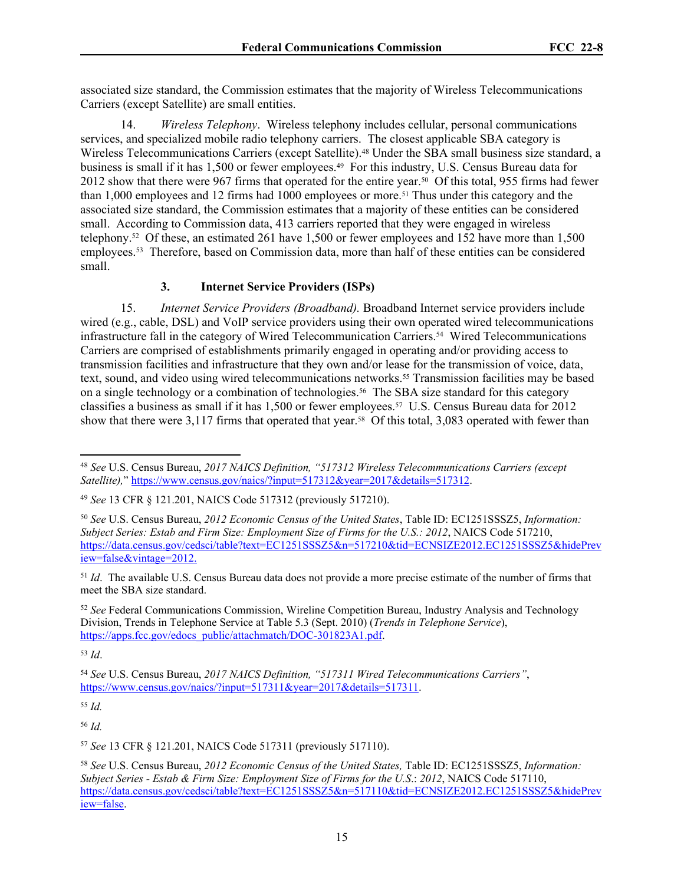associated size standard, the Commission estimates that the majority of Wireless Telecommunications Carriers (except Satellite) are small entities.

14. *Wireless Telephony*. Wireless telephony includes cellular, personal communications services, and specialized mobile radio telephony carriers. The closest applicable SBA category is Wireless Telecommunications Carriers (except Satellite).48 Under the SBA small business size standard, a business is small if it has 1,500 or fewer employees.49 For this industry, U.S. Census Bureau data for 2012 show that there were 967 firms that operated for the entire year.50 Of this total, 955 firms had fewer than 1,000 employees and 12 firms had 1000 employees or more.51 Thus under this category and the associated size standard, the Commission estimates that a majority of these entities can be considered small. According to Commission data, 413 carriers reported that they were engaged in wireless telephony.52 Of these, an estimated 261 have 1,500 or fewer employees and 152 have more than 1,500 employees.53 Therefore, based on Commission data, more than half of these entities can be considered small.

# **3. Internet Service Providers (ISPs)**

15. *Internet Service Providers (Broadband).* Broadband Internet service providers include wired (e.g., cable, DSL) and VoIP service providers using their own operated wired telecommunications infrastructure fall in the category of Wired Telecommunication Carriers.54 Wired Telecommunications Carriers are comprised of establishments primarily engaged in operating and/or providing access to transmission facilities and infrastructure that they own and/or lease for the transmission of voice, data, text, sound, and video using wired telecommunications networks.55 Transmission facilities may be based on a single technology or a combination of technologies.<sup>56</sup> The SBA size standard for this category classifies a business as small if it has 1,500 or fewer employees.57 U.S. Census Bureau data for 2012 show that there were 3,117 firms that operated that year.58 Of this total, 3,083 operated with fewer than

<sup>52</sup> *See* Federal Communications Commission, Wireline Competition Bureau, Industry Analysis and Technology Division, Trends in Telephone Service at Table 5.3 (Sept. 2010) (*Trends in Telephone Service*), [https://apps.fcc.gov/edocs\\_public/attachmatch/DOC-301823A1.pdf](https://apps.fcc.gov/edocs_public/attachmatch/DOC-301823A1.pdf).

<sup>53</sup> *Id*.

<sup>55</sup> *Id.*

<sup>56</sup> *Id.*

<sup>57</sup> *See* 13 CFR § 121.201, NAICS Code 517311 (previously 517110).

<sup>48</sup> *See* U.S. Census Bureau, *2017 NAICS Definition, "517312 Wireless Telecommunications Carriers (except Satellite),*" https://www.census.gov/naics/?input=517312&year=2017&details=517312.

<sup>49</sup> *See* 13 CFR § 121.201, NAICS Code 517312 (previously 517210).

<sup>50</sup> *See* U.S. Census Bureau, *2012 Economic Census of the United States*, Table ID: EC1251SSSZ5, *Information: Subject Series: Estab and Firm Size: Employment Size of Firms for the U.S.: 2012*, NAICS Code 517210, [https://data.census.gov/cedsci/table?text=EC1251SSSZ5&n=517210&tid=ECNSIZE2012.EC1251SSSZ5&hidePrev](https://data.census.gov/cedsci/table?text=EC1251SSSZ5&n=517210&tid=ECNSIZE2012.EC1251SSSZ5&hidePreview=false&vintage=2012) [iew=false&vintage=2012.](https://data.census.gov/cedsci/table?text=EC1251SSSZ5&n=517210&tid=ECNSIZE2012.EC1251SSSZ5&hidePreview=false&vintage=2012)

<sup>51</sup> *Id*. The available U.S. Census Bureau data does not provide a more precise estimate of the number of firms that meet the SBA size standard.

<sup>54</sup> *See* U.S. Census Bureau, *2017 NAICS Definition, "517311 Wired Telecommunications Carriers"*, [https://www.census.gov/naics/?input=517311&year=2017&details=517311.](https://www.census.gov/naics/?input=517311&year=2017&details=517311)

<sup>58</sup> *See* U.S. Census Bureau, *2012 Economic Census of the United States,* Table ID: EC1251SSSZ5, *Information: Subject Series - Estab & Firm Size: Employment Size of Firms for the U.S*.: *2012*, NAICS Code 517110, [https://data.census.gov/cedsci/table?text=EC1251SSSZ5&n=517110&tid=ECNSIZE2012.EC1251SSSZ5&hidePrev](https://data.census.gov/cedsci/table?text=EC1251SSSZ5&n=517110&tid=ECNSIZE2012.EC1251SSSZ5&hidePreview=false) [iew=false.](https://data.census.gov/cedsci/table?text=EC1251SSSZ5&n=517110&tid=ECNSIZE2012.EC1251SSSZ5&hidePreview=false)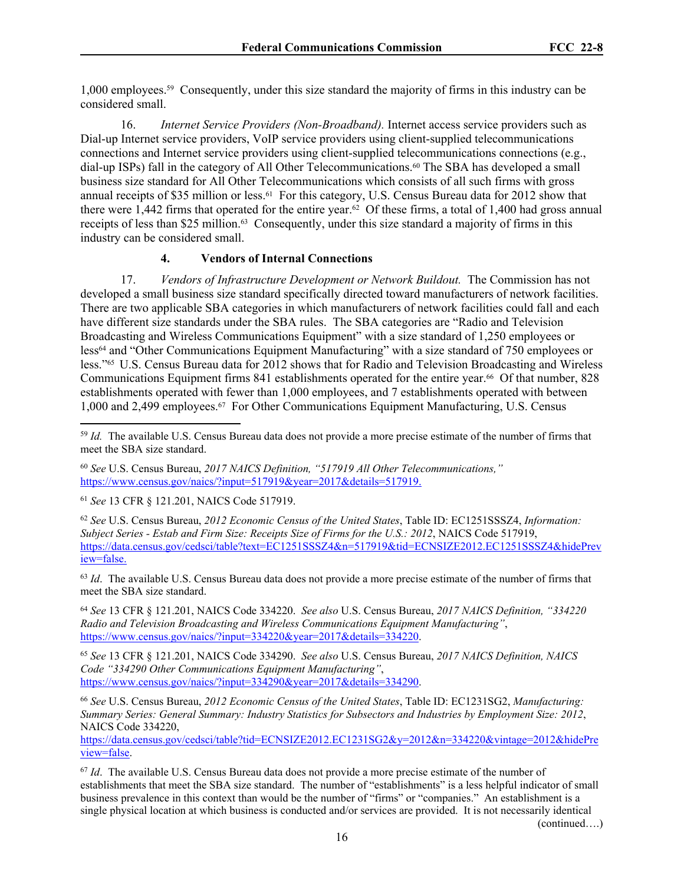1,000 employees.59 Consequently, under this size standard the majority of firms in this industry can be considered small.

16. *Internet Service Providers (Non-Broadband).* Internet access service providers such as Dial-up Internet service providers, VoIP service providers using client-supplied telecommunications connections and Internet service providers using client-supplied telecommunications connections (e.g., dial-up ISPs) fall in the category of All Other Telecommunications.60 The SBA has developed a small business size standard for All Other Telecommunications which consists of all such firms with gross annual receipts of \$35 million or less.<sup>61</sup> For this category, U.S. Census Bureau data for 2012 show that there were 1,442 firms that operated for the entire year.<sup>62</sup> Of these firms, a total of 1,400 had gross annual receipts of less than \$25 million.<sup>63</sup> Consequently, under this size standard a majority of firms in this industry can be considered small.

#### **4. Vendors of Internal Connections**

17. *Vendors of Infrastructure Development or Network Buildout.* The Commission has not developed a small business size standard specifically directed toward manufacturers of network facilities. There are two applicable SBA categories in which manufacturers of network facilities could fall and each have different size standards under the SBA rules. The SBA categories are "Radio and Television Broadcasting and Wireless Communications Equipment" with a size standard of 1,250 employees or less64 and "Other Communications Equipment Manufacturing" with a size standard of 750 employees or less."65 U.S. Census Bureau data for 2012 shows that for Radio and Television Broadcasting and Wireless Communications Equipment firms 841 establishments operated for the entire year.<sup>66</sup> Of that number, 828 establishments operated with fewer than 1,000 employees, and 7 establishments operated with between 1,000 and 2,499 employees.67 For Other Communications Equipment Manufacturing, U.S. Census

<sup>59</sup> *Id.* The available U.S. Census Bureau data does not provide a more precise estimate of the number of firms that meet the SBA size standard.

<sup>60</sup> *See* U.S. Census Bureau, *2017 NAICS Definition, "517919 All Other Telecommunications,"* [https://www.census.gov/naics/?input=517919&year=2017&details=517919.](https://www.census.gov/naics/?input=517919&year=2017&details=517919)

<sup>61</sup> *See* 13 CFR § 121.201, NAICS Code 517919.

<sup>62</sup> *See* U.S. Census Bureau, *2012 Economic Census of the United States*, Table ID: EC1251SSSZ4, *Information: Subject Series - Estab and Firm Size: Receipts Size of Firms for the U.S.: 2012*, NAICS Code 517919, [https://data.census.gov/cedsci/table?text=EC1251SSSZ4&n=517919&tid=ECNSIZE2012.EC1251SSSZ4&hidePrev](https://data.census.gov/cedsci/table?text=EC1251SSSZ4&n=517919&tid=ECNSIZE2012.EC1251SSSZ4&hidePreview=false) [iew=false.](https://data.census.gov/cedsci/table?text=EC1251SSSZ4&n=517919&tid=ECNSIZE2012.EC1251SSSZ4&hidePreview=false)

<sup>63</sup> *Id.* The available U.S. Census Bureau data does not provide a more precise estimate of the number of firms that meet the SBA size standard.

<sup>64</sup> *See* 13 CFR § 121.201, NAICS Code 334220. *See also* U.S. Census Bureau, *2017 NAICS Definition, "334220 Radio and Television Broadcasting and Wireless Communications Equipment Manufacturing"*, [https://www.census.gov/naics/?input=334220&year=2017&details=334220.](https://www.census.gov/naics/?input=334220&year=2017&details=334220)

<sup>65</sup> *See* 13 CFR § 121.201, NAICS Code 334290. *See also* U.S. Census Bureau, *2017 NAICS Definition, NAICS Code "334290 Other Communications Equipment Manufacturing"*, [https://www.census.gov/naics/?input=334290&year=2017&details=334290.](https://www.census.gov/naics/?input=334290&year=2017&details=334290)

<sup>66</sup> *See* U.S. Census Bureau, *2012 Economic Census of the United States*, Table ID: EC1231SG2, *Manufacturing: Summary Series: General Summary: Industry Statistics for Subsectors and Industries by Employment Size: 2012*, NAICS Code 334220,

[https://data.census.gov/cedsci/table?tid=ECNSIZE2012.EC1231SG2&y=2012&n=334220&vintage=2012&hidePre](https://data.census.gov/cedsci/table?tid=ECNSIZE2012.EC1231SG2&y=2012&n=334220&vintage=2012&hidePreview=false) [view=false.](https://data.census.gov/cedsci/table?tid=ECNSIZE2012.EC1231SG2&y=2012&n=334220&vintage=2012&hidePreview=false)

<sup>67</sup> *Id*. The available U.S. Census Bureau data does not provide a more precise estimate of the number of establishments that meet the SBA size standard. The number of "establishments" is a less helpful indicator of small business prevalence in this context than would be the number of "firms" or "companies." An establishment is a single physical location at which business is conducted and/or services are provided. It is not necessarily identical

(continued….)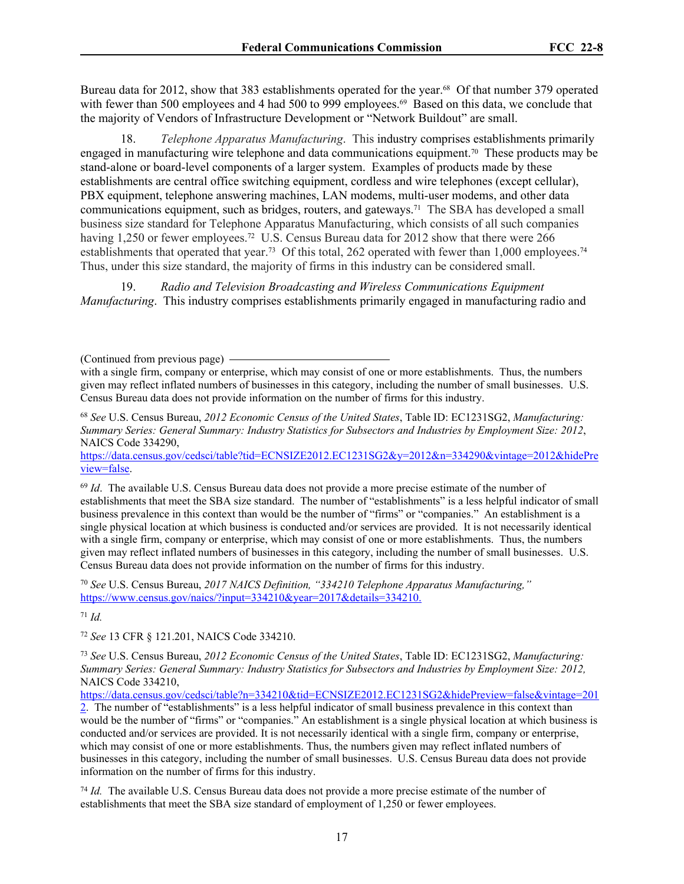Bureau data for 2012, show that 383 establishments operated for the year.<sup>68</sup> Of that number 379 operated with fewer than 500 employees and 4 had 500 to 999 employees.<sup>69</sup> Based on this data, we conclude that the majority of Vendors of Infrastructure Development or "Network Buildout" are small.

18. *Telephone Apparatus Manufacturing*. This industry comprises establishments primarily engaged in manufacturing wire telephone and data communications equipment.<sup>70</sup> These products may be stand-alone or board-level components of a larger system. Examples of products made by these establishments are central office switching equipment, cordless and wire telephones (except cellular), PBX equipment, telephone answering machines, LAN modems, multi-user modems, and other data communications equipment, such as bridges, routers, and gateways.<sup>71</sup> The SBA has developed a small business size standard for Telephone Apparatus Manufacturing, which consists of all such companies having 1,250 or fewer employees.<sup>72</sup> U.S. Census Bureau data for 2012 show that there were 266 establishments that operated that year.<sup>73</sup> Of this total, 262 operated with fewer than 1,000 employees.<sup>74</sup> Thus, under this size standard, the majority of firms in this industry can be considered small.

19. *Radio and Television Broadcasting and Wireless Communications Equipment Manufacturing*. This industry comprises establishments primarily engaged in manufacturing radio and

[https://data.census.gov/cedsci/table?tid=ECNSIZE2012.EC1231SG2&y=2012&n=334290&vintage=2012&hidePre](https://data.census.gov/cedsci/table?tid=ECNSIZE2012.EC1231SG2&y=2012&n=334290&vintage=2012&hidePreview=false) [view=false.](https://data.census.gov/cedsci/table?tid=ECNSIZE2012.EC1231SG2&y=2012&n=334290&vintage=2012&hidePreview=false)

<sup>69</sup> *Id.* The available U.S. Census Bureau data does not provide a more precise estimate of the number of establishments that meet the SBA size standard. The number of "establishments" is a less helpful indicator of small business prevalence in this context than would be the number of "firms" or "companies." An establishment is a single physical location at which business is conducted and/or services are provided. It is not necessarily identical with a single firm, company or enterprise, which may consist of one or more establishments. Thus, the numbers given may reflect inflated numbers of businesses in this category, including the number of small businesses. U.S. Census Bureau data does not provide information on the number of firms for this industry.

<sup>70</sup> *See* U.S. Census Bureau, *2017 NAICS Definition, "334210 Telephone Apparatus Manufacturing,"* [https://www.census.gov/naics/?input=334210&year=2017&details=334210.](https://www.census.gov/naics/?input=334210&year=2017&details=334210)

<sup>71</sup> *Id.*

<sup>72</sup> *See* 13 CFR § 121.201, NAICS Code 334210.

<sup>73</sup> *See* U.S. Census Bureau, *2012 Economic Census of the United States*, Table ID: EC1231SG2, *Manufacturing: Summary Series: General Summary: Industry Statistics for Subsectors and Industries by Employment Size: 2012,* NAICS Code 334210,

[https://data.census.gov/cedsci/table?n=334210&tid=ECNSIZE2012.EC1231SG2&hidePreview=false&vintage=201](https://data.census.gov/cedsci/table?n=334210&tid=ECNSIZE2012.EC1231SG2&hidePreview=false&vintage=2012)

[2](https://data.census.gov/cedsci/table?n=334210&tid=ECNSIZE2012.EC1231SG2&hidePreview=false&vintage=2012). The number of "establishments" is a less helpful indicator of small business prevalence in this context than would be the number of "firms" or "companies." An establishment is a single physical location at which business is conducted and/or services are provided. It is not necessarily identical with a single firm, company or enterprise, which may consist of one or more establishments. Thus, the numbers given may reflect inflated numbers of businesses in this category, including the number of small businesses. U.S. Census Bureau data does not provide information on the number of firms for this industry.

<sup>74</sup> *Id.* The available U.S. Census Bureau data does not provide a more precise estimate of the number of establishments that meet the SBA size standard of employment of 1,250 or fewer employees.

<sup>(</sup>Continued from previous page)

with a single firm, company or enterprise, which may consist of one or more establishments. Thus, the numbers given may reflect inflated numbers of businesses in this category, including the number of small businesses. U.S. Census Bureau data does not provide information on the number of firms for this industry.

<sup>68</sup> *See* U.S. Census Bureau, *2012 Economic Census of the United States*, Table ID: EC1231SG2, *Manufacturing: Summary Series: General Summary: Industry Statistics for Subsectors and Industries by Employment Size: 2012*, NAICS Code 334290,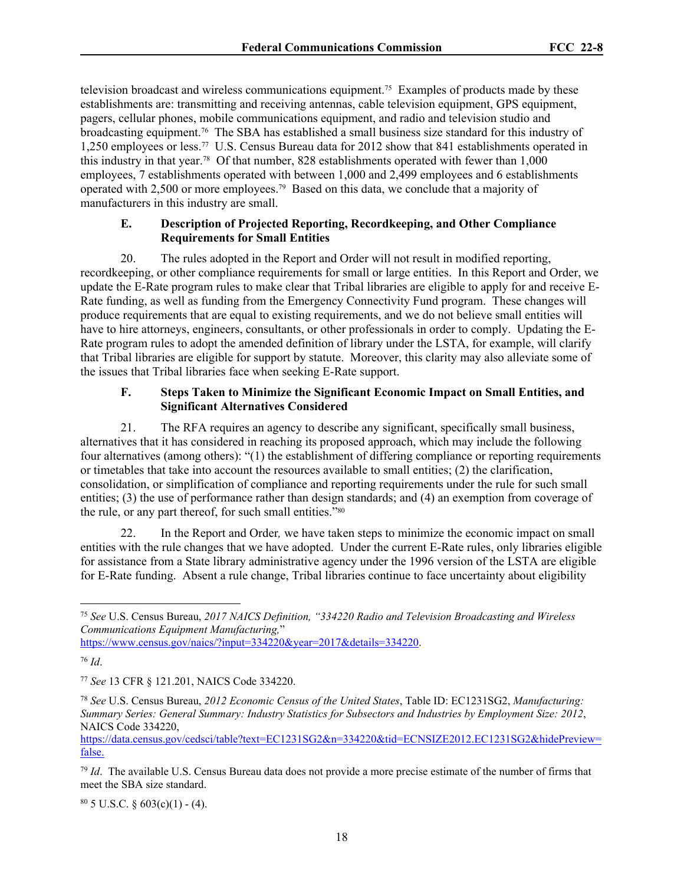television broadcast and wireless communications equipment.75 Examples of products made by these establishments are: transmitting and receiving antennas, cable television equipment, GPS equipment, pagers, cellular phones, mobile communications equipment, and radio and television studio and broadcasting equipment.76 The SBA has established a small business size standard for this industry of 1,250 employees or less.77 U.S. Census Bureau data for 2012 show that 841 establishments operated in this industry in that year.78 Of that number, 828 establishments operated with fewer than 1,000 employees, 7 establishments operated with between 1,000 and 2,499 employees and 6 establishments operated with 2,500 or more employees.79 Based on this data, we conclude that a majority of manufacturers in this industry are small.

#### **E. Description of Projected Reporting, Recordkeeping, and Other Compliance Requirements for Small Entities**

20. The rules adopted in the Report and Order will not result in modified reporting, recordkeeping, or other compliance requirements for small or large entities. In this Report and Order, we update the E-Rate program rules to make clear that Tribal libraries are eligible to apply for and receive E-Rate funding, as well as funding from the Emergency Connectivity Fund program. These changes will produce requirements that are equal to existing requirements, and we do not believe small entities will have to hire attorneys, engineers, consultants, or other professionals in order to comply. Updating the E-Rate program rules to adopt the amended definition of library under the LSTA, for example, will clarify that Tribal libraries are eligible for support by statute. Moreover, this clarity may also alleviate some of the issues that Tribal libraries face when seeking E-Rate support.

## **F. Steps Taken to Minimize the Significant Economic Impact on Small Entities, and Significant Alternatives Considered**

21. The RFA requires an agency to describe any significant, specifically small business, alternatives that it has considered in reaching its proposed approach, which may include the following four alternatives (among others): "(1) the establishment of differing compliance or reporting requirements or timetables that take into account the resources available to small entities; (2) the clarification, consolidation, or simplification of compliance and reporting requirements under the rule for such small entities; (3) the use of performance rather than design standards; and (4) an exemption from coverage of the rule, or any part thereof, for such small entities."<sup>80</sup>

22. In the Report and Order*,* we have taken steps to minimize the economic impact on small entities with the rule changes that we have adopted. Under the current E-Rate rules, only libraries eligible for assistance from a State library administrative agency under the 1996 version of the LSTA are eligible for E-Rate funding. Absent a rule change, Tribal libraries continue to face uncertainty about eligibility

 $80$  5 U.S.C. § 603(c)(1) - (4).

<sup>75</sup> *See* U.S. Census Bureau, *2017 NAICS Definition, "334220 Radio and Television Broadcasting and Wireless Communications Equipment Manufacturing,*"

[https://www.census.gov/naics/?input=334220&year=2017&details=334220.](https://www.census.gov/naics/?input=334220&year=2017&details=334220)

<sup>76</sup> *Id*.

<sup>77</sup> *See* 13 CFR § 121.201, NAICS Code 334220.

<sup>78</sup> *See* U.S. Census Bureau, *2012 Economic Census of the United States*, Table ID: EC1231SG2, *Manufacturing: Summary Series: General Summary: Industry Statistics for Subsectors and Industries by Employment Size: 2012*, NAICS Code 334220,

[https://data.census.gov/cedsci/table?text=EC1231SG2&n=334220&tid=ECNSIZE2012.EC1231SG2&hidePreview=](https://data.census.gov/cedsci/table?text=EC1231SG2&n=334220&tid=ECNSIZE2012.EC1231SG2&hidePreview=false) [false.](https://data.census.gov/cedsci/table?text=EC1231SG2&n=334220&tid=ECNSIZE2012.EC1231SG2&hidePreview=false)

<sup>79</sup> *Id*. The available U.S. Census Bureau data does not provide a more precise estimate of the number of firms that meet the SBA size standard.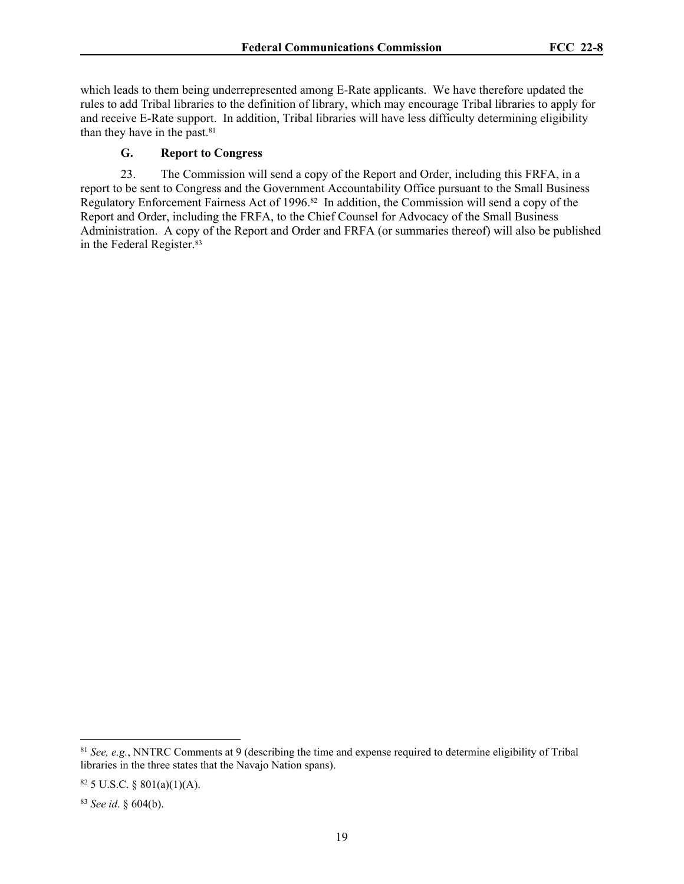which leads to them being underrepresented among E-Rate applicants. We have therefore updated the rules to add Tribal libraries to the definition of library, which may encourage Tribal libraries to apply for and receive E-Rate support. In addition, Tribal libraries will have less difficulty determining eligibility than they have in the past.<sup>81</sup>

## **G. Report to Congress**

23. The Commission will send a copy of the Report and Order, including this FRFA, in a report to be sent to Congress and the Government Accountability Office pursuant to the Small Business Regulatory Enforcement Fairness Act of 1996.82 In addition, the Commission will send a copy of the Report and Order, including the FRFA, to the Chief Counsel for Advocacy of the Small Business Administration. A copy of the Report and Order and FRFA (or summaries thereof) will also be published in the Federal Register.<sup>83</sup>

<sup>81</sup> *See, e.g.*, NNTRC Comments at 9 (describing the time and expense required to determine eligibility of Tribal libraries in the three states that the Navajo Nation spans).

 $82$  5 U.S.C. §  $801(a)(1)(A)$ .

<sup>83</sup> *See id*. § 604(b).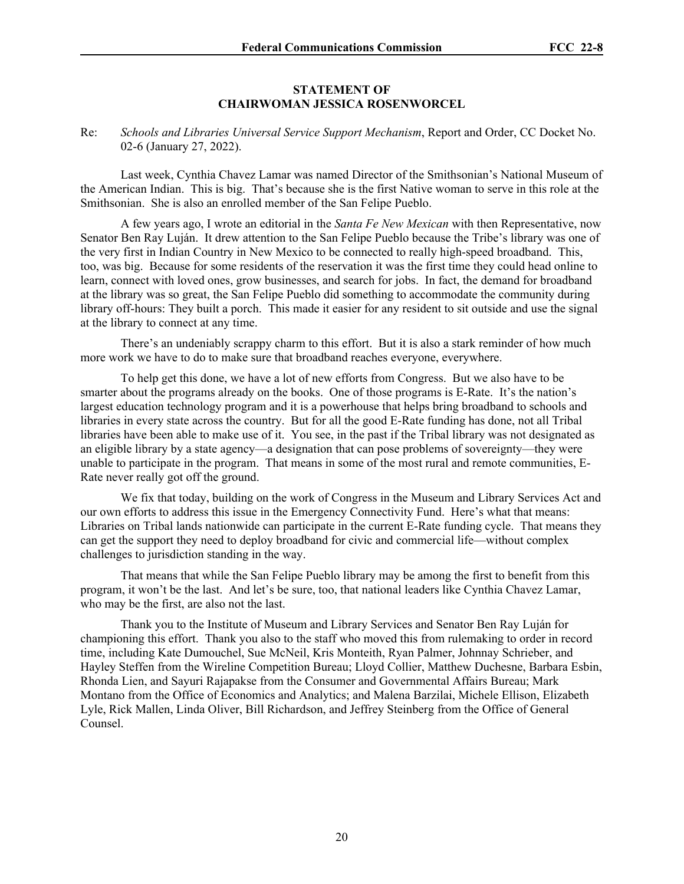## **STATEMENT OF CHAIRWOMAN JESSICA ROSENWORCEL**

#### Re: *Schools and Libraries Universal Service Support Mechanism*, Report and Order, CC Docket No. 02-6 (January 27, 2022).

Last week, Cynthia Chavez Lamar was named Director of the Smithsonian's National Museum of the American Indian. This is big. That's because she is the first Native woman to serve in this role at the Smithsonian. She is also an enrolled member of the San Felipe Pueblo.

A few years ago, I wrote an editorial in the *Santa Fe New Mexican* with then Representative, now Senator Ben Ray Luján. It drew attention to the San Felipe Pueblo because the Tribe's library was one of the very first in Indian Country in New Mexico to be connected to really high-speed broadband. This, too, was big. Because for some residents of the reservation it was the first time they could head online to learn, connect with loved ones, grow businesses, and search for jobs. In fact, the demand for broadband at the library was so great, the San Felipe Pueblo did something to accommodate the community during library off-hours: They built a porch. This made it easier for any resident to sit outside and use the signal at the library to connect at any time.

There's an undeniably scrappy charm to this effort. But it is also a stark reminder of how much more work we have to do to make sure that broadband reaches everyone, everywhere.

To help get this done, we have a lot of new efforts from Congress. But we also have to be smarter about the programs already on the books. One of those programs is E-Rate. It's the nation's largest education technology program and it is a powerhouse that helps bring broadband to schools and libraries in every state across the country. But for all the good E-Rate funding has done, not all Tribal libraries have been able to make use of it. You see, in the past if the Tribal library was not designated as an eligible library by a state agency—a designation that can pose problems of sovereignty—they were unable to participate in the program. That means in some of the most rural and remote communities, E-Rate never really got off the ground.

We fix that today, building on the work of Congress in the Museum and Library Services Act and our own efforts to address this issue in the Emergency Connectivity Fund. Here's what that means: Libraries on Tribal lands nationwide can participate in the current E-Rate funding cycle. That means they can get the support they need to deploy broadband for civic and commercial life—without complex challenges to jurisdiction standing in the way.

That means that while the San Felipe Pueblo library may be among the first to benefit from this program, it won't be the last. And let's be sure, too, that national leaders like Cynthia Chavez Lamar, who may be the first, are also not the last.

Thank you to the Institute of Museum and Library Services and Senator Ben Ray Luján for championing this effort. Thank you also to the staff who moved this from rulemaking to order in record time, including Kate Dumouchel, Sue McNeil, Kris Monteith, Ryan Palmer, Johnnay Schrieber, and Hayley Steffen from the Wireline Competition Bureau; Lloyd Collier, Matthew Duchesne, Barbara Esbin, Rhonda Lien, and Sayuri Rajapakse from the Consumer and Governmental Affairs Bureau; Mark Montano from the Office of Economics and Analytics; and Malena Barzilai, Michele Ellison, Elizabeth Lyle, Rick Mallen, Linda Oliver, Bill Richardson, and Jeffrey Steinberg from the Office of General Counsel.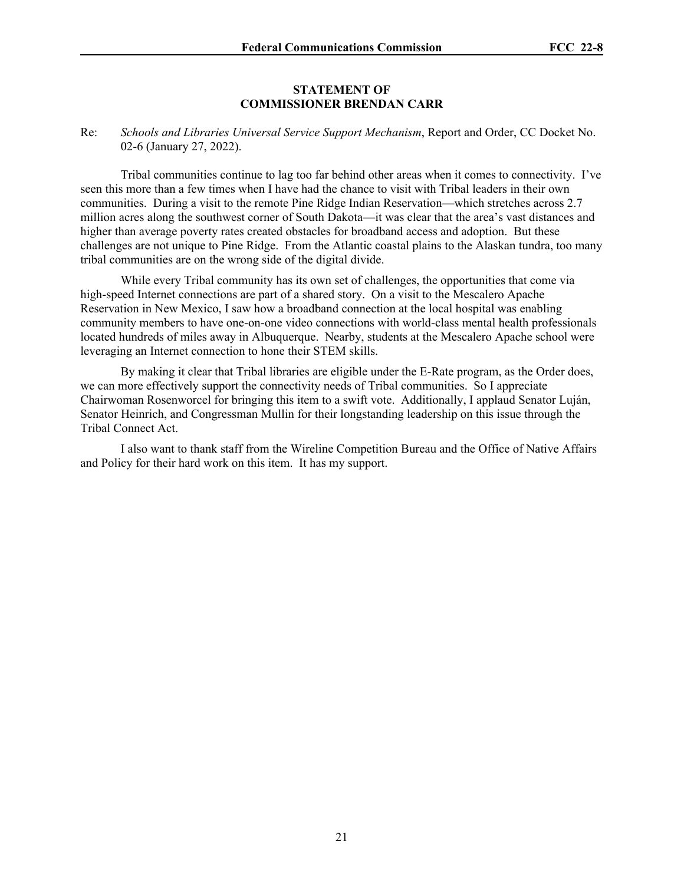#### **STATEMENT OF COMMISSIONER BRENDAN CARR**

Re: *Schools and Libraries Universal Service Support Mechanism*, Report and Order, CC Docket No. 02-6 (January 27, 2022).

Tribal communities continue to lag too far behind other areas when it comes to connectivity. I've seen this more than a few times when I have had the chance to visit with Tribal leaders in their own communities. During a visit to the remote Pine Ridge Indian Reservation—which stretches across 2.7 million acres along the southwest corner of South Dakota—it was clear that the area's vast distances and higher than average poverty rates created obstacles for broadband access and adoption. But these challenges are not unique to Pine Ridge. From the Atlantic coastal plains to the Alaskan tundra, too many tribal communities are on the wrong side of the digital divide.

While every Tribal community has its own set of challenges, the opportunities that come via high-speed Internet connections are part of a shared story. On a visit to the Mescalero Apache Reservation in New Mexico, I saw how a broadband connection at the local hospital was enabling community members to have one-on-one video connections with world-class mental health professionals located hundreds of miles away in Albuquerque. Nearby, students at the Mescalero Apache school were leveraging an Internet connection to hone their STEM skills.

By making it clear that Tribal libraries are eligible under the E-Rate program, as the Order does, we can more effectively support the connectivity needs of Tribal communities. So I appreciate Chairwoman Rosenworcel for bringing this item to a swift vote. Additionally, I applaud Senator Luján, Senator Heinrich, and Congressman Mullin for their longstanding leadership on this issue through the Tribal Connect Act.

I also want to thank staff from the Wireline Competition Bureau and the Office of Native Affairs and Policy for their hard work on this item. It has my support.